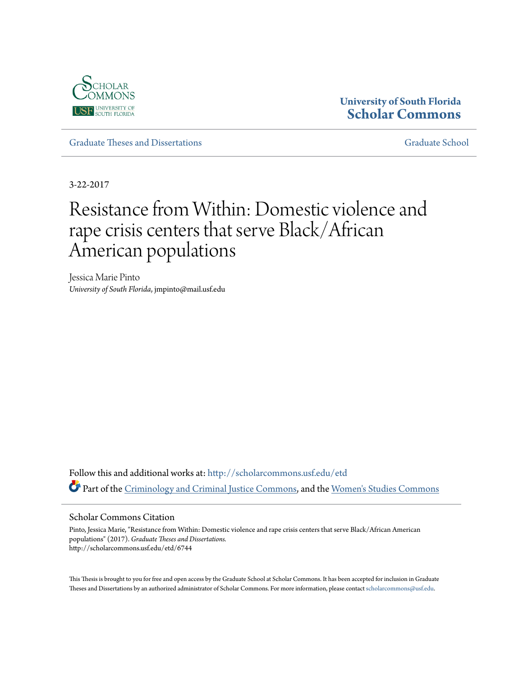

# **University of South Florida [Scholar Commons](http://scholarcommons.usf.edu?utm_source=scholarcommons.usf.edu%2Fetd%2F6744&utm_medium=PDF&utm_campaign=PDFCoverPages)**

[Graduate Theses and Dissertations](http://scholarcommons.usf.edu/etd?utm_source=scholarcommons.usf.edu%2Fetd%2F6744&utm_medium=PDF&utm_campaign=PDFCoverPages) [Graduate School](http://scholarcommons.usf.edu/grad?utm_source=scholarcommons.usf.edu%2Fetd%2F6744&utm_medium=PDF&utm_campaign=PDFCoverPages)

3-22-2017

# Resistance from Within: Domestic violence and rape crisis centers that serve Black/African American populations

Jessica Marie Pinto *University of South Florida*, jmpinto@mail.usf.edu

Follow this and additional works at: [http://scholarcommons.usf.edu/etd](http://scholarcommons.usf.edu/etd?utm_source=scholarcommons.usf.edu%2Fetd%2F6744&utm_medium=PDF&utm_campaign=PDFCoverPages) Part of the [Criminology and Criminal Justice Commons](http://network.bepress.com/hgg/discipline/367?utm_source=scholarcommons.usf.edu%2Fetd%2F6744&utm_medium=PDF&utm_campaign=PDFCoverPages), and the [Women's Studies Commons](http://network.bepress.com/hgg/discipline/561?utm_source=scholarcommons.usf.edu%2Fetd%2F6744&utm_medium=PDF&utm_campaign=PDFCoverPages)

#### Scholar Commons Citation

Pinto, Jessica Marie, "Resistance from Within: Domestic violence and rape crisis centers that serve Black/African American populations" (2017). *Graduate Theses and Dissertations.* http://scholarcommons.usf.edu/etd/6744

This Thesis is brought to you for free and open access by the Graduate School at Scholar Commons. It has been accepted for inclusion in Graduate Theses and Dissertations by an authorized administrator of Scholar Commons. For more information, please contact [scholarcommons@usf.edu.](mailto:scholarcommons@usf.edu)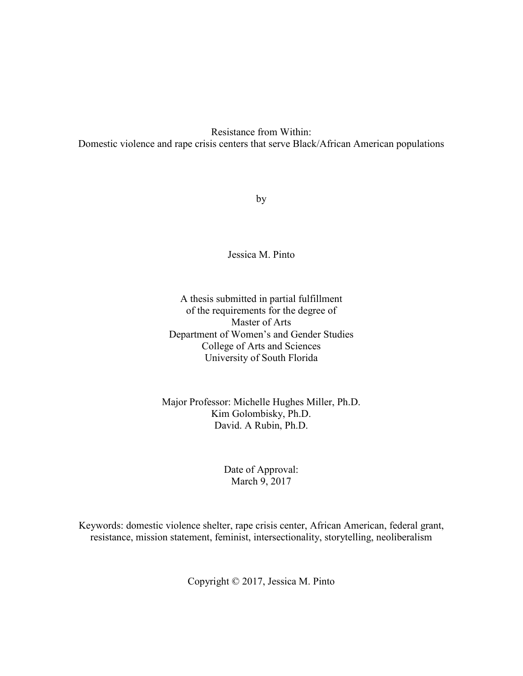Resistance from Within: Domestic violence and rape crisis centers that serve Black/African American populations

by

Jessica M. Pinto

A thesis submitted in partial fulfillment of the requirements for the degree of Master of Arts Department of Women's and Gender Studies College of Arts and Sciences University of South Florida

Major Professor: Michelle Hughes Miller, Ph.D. Kim Golombisky, Ph.D. David. A Rubin, Ph.D.

> Date of Approval: March 9, 2017

Keywords: domestic violence shelter, rape crisis center, African American, federal grant, resistance, mission statement, feminist, intersectionality, storytelling, neoliberalism

Copyright © 2017, Jessica M. Pinto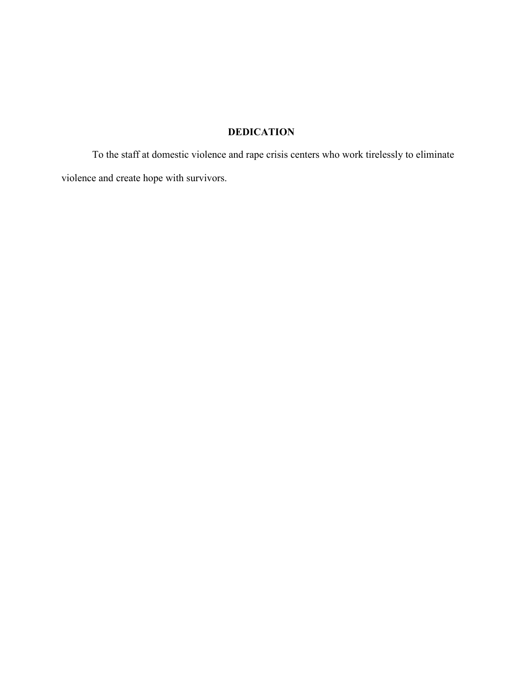# **DEDICATION**

 To the staff at domestic violence and rape crisis centers who work tirelessly to eliminate violence and create hope with survivors.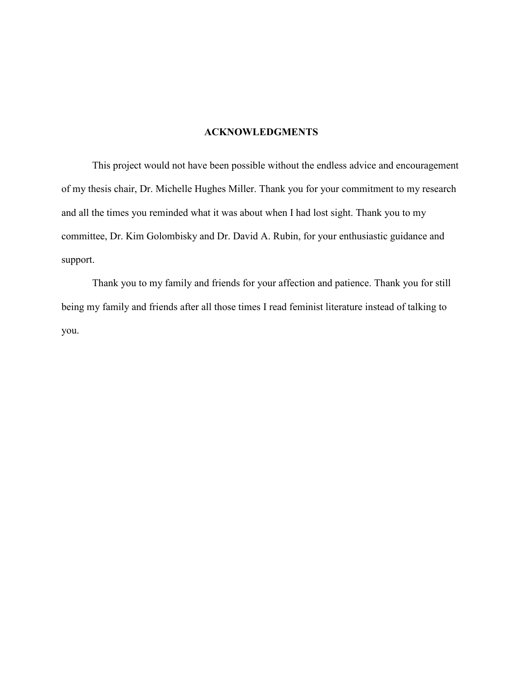# **ACKNOWLEDGMENTS**

 This project would not have been possible without the endless advice and encouragement of my thesis chair, Dr. Michelle Hughes Miller. Thank you for your commitment to my research and all the times you reminded what it was about when I had lost sight. Thank you to my committee, Dr. Kim Golombisky and Dr. David A. Rubin, for your enthusiastic guidance and support.

Thank you to my family and friends for your affection and patience. Thank you for still being my family and friends after all those times I read feminist literature instead of talking to you.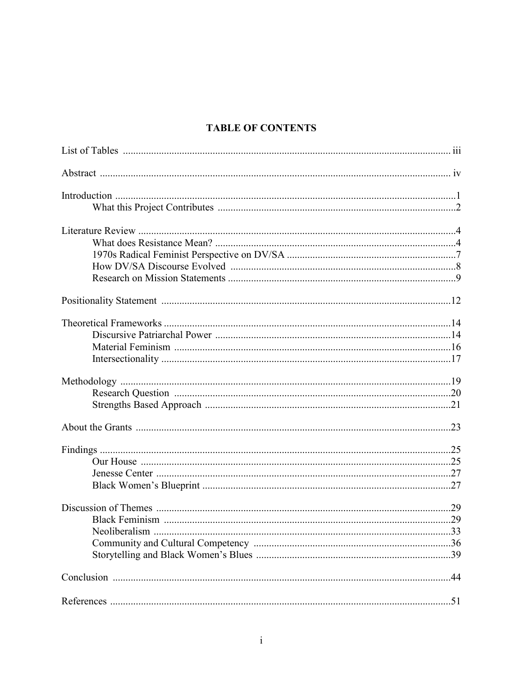# **TABLE OF CONTENTS**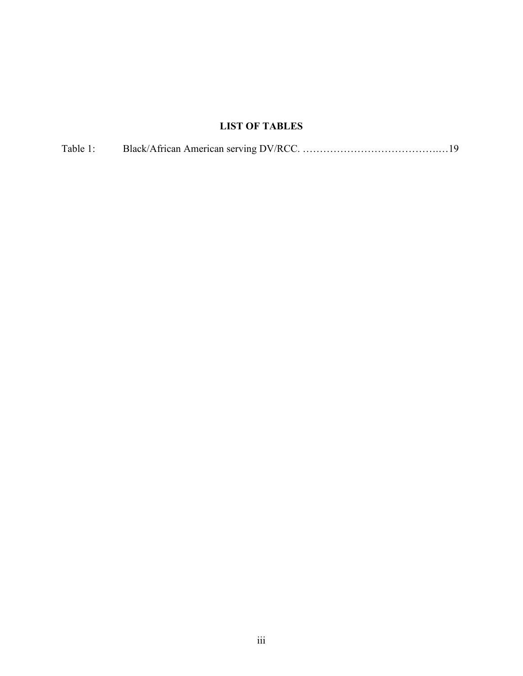# **LIST OF TABLES**

| Table 1: |  |  |
|----------|--|--|
|----------|--|--|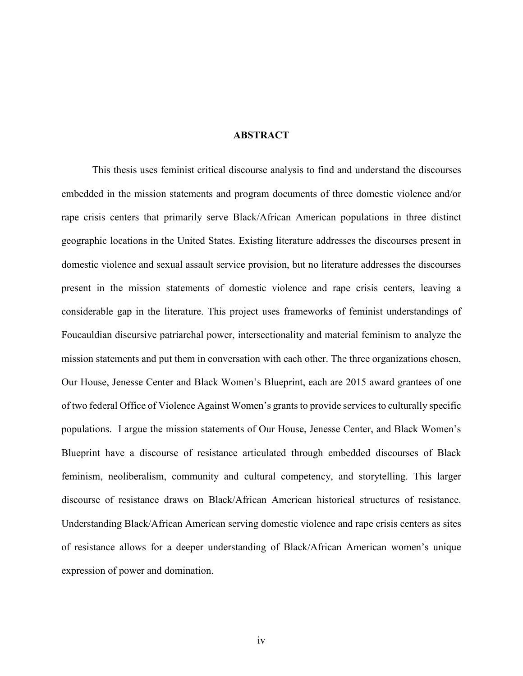#### **ABSTRACT**

This thesis uses feminist critical discourse analysis to find and understand the discourses embedded in the mission statements and program documents of three domestic violence and/or rape crisis centers that primarily serve Black/African American populations in three distinct geographic locations in the United States. Existing literature addresses the discourses present in domestic violence and sexual assault service provision, but no literature addresses the discourses present in the mission statements of domestic violence and rape crisis centers, leaving a considerable gap in the literature. This project uses frameworks of feminist understandings of Foucauldian discursive patriarchal power, intersectionality and material feminism to analyze the mission statements and put them in conversation with each other. The three organizations chosen, Our House, Jenesse Center and Black Women's Blueprint, each are 2015 award grantees of one of two federal Office of Violence Against Women's grants to provide services to culturally specific populations. I argue the mission statements of Our House, Jenesse Center, and Black Women's Blueprint have a discourse of resistance articulated through embedded discourses of Black feminism, neoliberalism, community and cultural competency, and storytelling. This larger discourse of resistance draws on Black/African American historical structures of resistance. Understanding Black/African American serving domestic violence and rape crisis centers as sites of resistance allows for a deeper understanding of Black/African American women's unique expression of power and domination.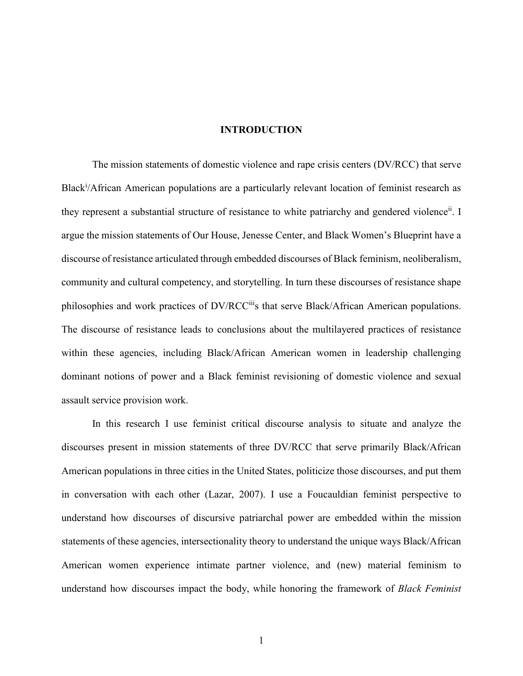#### **INTRODUCTION**

The mission statements of domestic violence and rape crisis centers (DV/RCC) that serve Black<sup>i</sup>/African American populations are a particularly relevant location of feminist research as they represent a substantial structure of resistance to white patriarchy and gendered violence<sup>ii</sup>. I argue the mission statements of Our House, Jenesse Center, and Black Women's Blueprint have a discourse of resistance articulated through embedded discourses of Black feminism, neoliberalism, community and cultural competency, and storytelling. In turn these discourses of resistance shape philosophies and work practices of DV/RCCiiis that serve Black/African American populations. The discourse of resistance leads to conclusions about the multilayered practices of resistance within these agencies, including Black/African American women in leadership challenging dominant notions of power and a Black feminist revisioning of domestic violence and sexual assault service provision work.

In this research I use feminist critical discourse analysis to situate and analyze the discourses present in mission statements of three DV/RCC that serve primarily Black/African American populations in three cities in the United States, politicize those discourses, and put them in conversation with each other (Lazar, 2007). I use a Foucauldian feminist perspective to understand how discourses of discursive patriarchal power are embedded within the mission statements of these agencies, intersectionality theory to understand the unique ways Black/African American women experience intimate partner violence, and (new) material feminism to understand how discourses impact the body, while honoring the framework of *Black Feminist*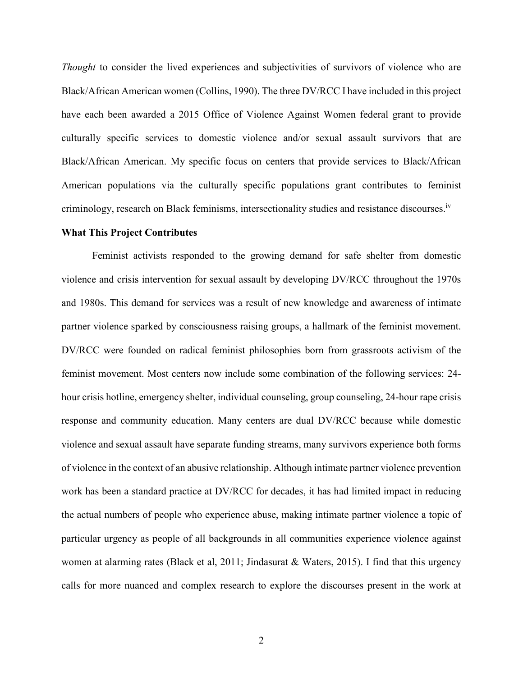*Thought* to consider the lived experiences and subjectivities of survivors of violence who are Black/African American women (Collins, 1990). The three DV/RCC I have included in this project have each been awarded a 2015 Office of Violence Against Women federal grant to provide culturally specific services to domestic violence and/or sexual assault survivors that are Black/African American. My specific focus on centers that provide services to Black/African American populations via the culturally specific populations grant contributes to feminist criminology, research on Black feminisms, intersectionality studies and resistance discourses.<sup>iv</sup>

#### **What This Project Contributes**

Feminist activists responded to the growing demand for safe shelter from domestic violence and crisis intervention for sexual assault by developing DV/RCC throughout the 1970s and 1980s. This demand for services was a result of new knowledge and awareness of intimate partner violence sparked by consciousness raising groups, a hallmark of the feminist movement. DV/RCC were founded on radical feminist philosophies born from grassroots activism of the feminist movement. Most centers now include some combination of the following services: 24 hour crisis hotline, emergency shelter, individual counseling, group counseling, 24-hour rape crisis response and community education. Many centers are dual DV/RCC because while domestic violence and sexual assault have separate funding streams, many survivors experience both forms of violence in the context of an abusive relationship. Although intimate partner violence prevention work has been a standard practice at DV/RCC for decades, it has had limited impact in reducing the actual numbers of people who experience abuse, making intimate partner violence a topic of particular urgency as people of all backgrounds in all communities experience violence against women at alarming rates (Black et al, 2011; Jindasurat & Waters, 2015). I find that this urgency calls for more nuanced and complex research to explore the discourses present in the work at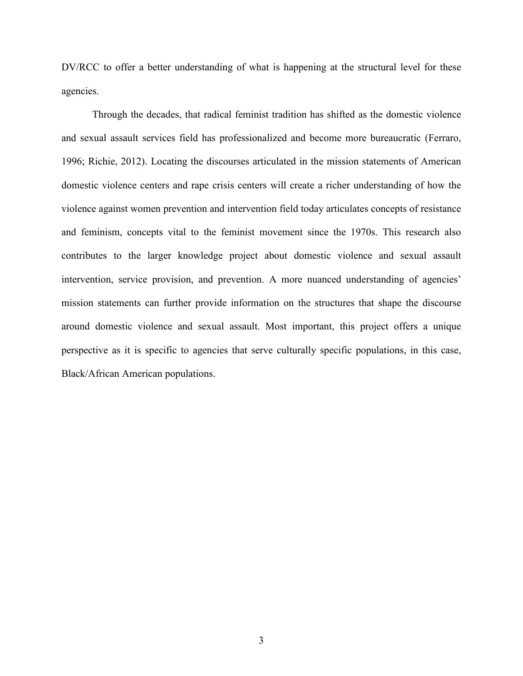DV/RCC to offer a better understanding of what is happening at the structural level for these agencies.

Through the decades, that radical feminist tradition has shifted as the domestic violence and sexual assault services field has professionalized and become more bureaucratic (Ferraro, 1996; Richie, 2012). Locating the discourses articulated in the mission statements of American domestic violence centers and rape crisis centers will create a richer understanding of how the violence against women prevention and intervention field today articulates concepts of resistance and feminism, concepts vital to the feminist movement since the 1970s. This research also contributes to the larger knowledge project about domestic violence and sexual assault intervention, service provision, and prevention. A more nuanced understanding of agencies' mission statements can further provide information on the structures that shape the discourse around domestic violence and sexual assault. Most important, this project offers a unique perspective as it is specific to agencies that serve culturally specific populations, in this case, Black/African American populations.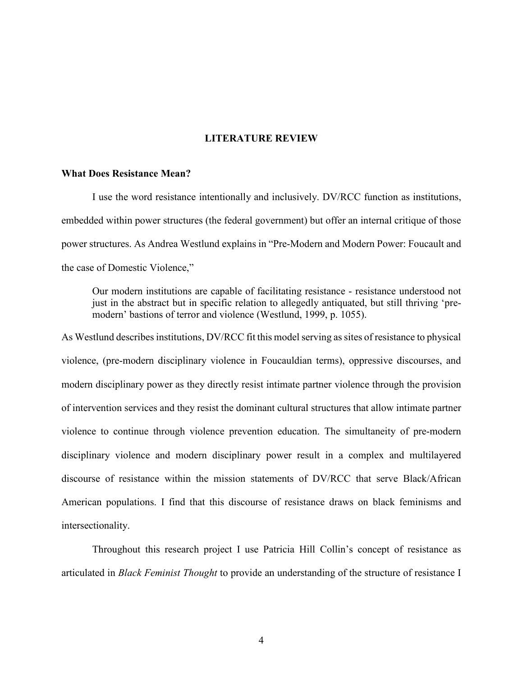#### **LITERATURE REVIEW**

#### **What Does Resistance Mean?**

I use the word resistance intentionally and inclusively. DV/RCC function as institutions, embedded within power structures (the federal government) but offer an internal critique of those power structures. As Andrea Westlund explains in "Pre-Modern and Modern Power: Foucault and the case of Domestic Violence,"

Our modern institutions are capable of facilitating resistance - resistance understood not just in the abstract but in specific relation to allegedly antiquated, but still thriving 'premodern' bastions of terror and violence (Westlund, 1999, p. 1055).

As Westlund describes institutions, DV/RCC fit this model serving as sites of resistance to physical violence, (pre-modern disciplinary violence in Foucauldian terms), oppressive discourses, and modern disciplinary power as they directly resist intimate partner violence through the provision of intervention services and they resist the dominant cultural structures that allow intimate partner violence to continue through violence prevention education. The simultaneity of pre-modern disciplinary violence and modern disciplinary power result in a complex and multilayered discourse of resistance within the mission statements of DV/RCC that serve Black/African American populations. I find that this discourse of resistance draws on black feminisms and intersectionality.

Throughout this research project I use Patricia Hill Collin's concept of resistance as articulated in *Black Feminist Thought* to provide an understanding of the structure of resistance I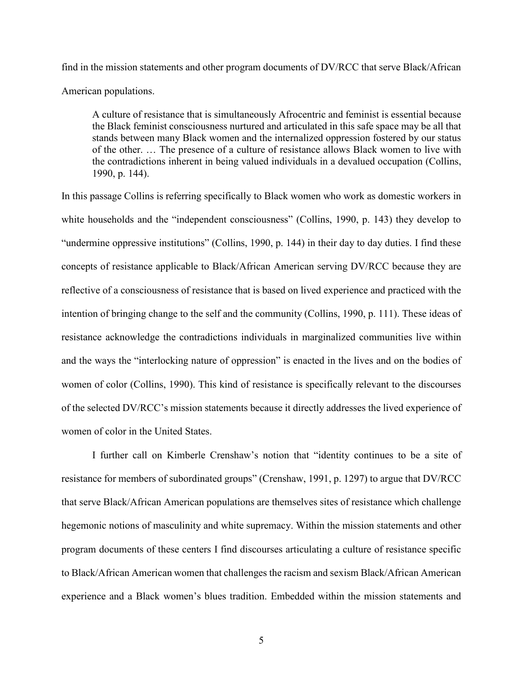find in the mission statements and other program documents of DV/RCC that serve Black/African American populations.

A culture of resistance that is simultaneously Afrocentric and feminist is essential because the Black feminist consciousness nurtured and articulated in this safe space may be all that stands between many Black women and the internalized oppression fostered by our status of the other. … The presence of a culture of resistance allows Black women to live with the contradictions inherent in being valued individuals in a devalued occupation (Collins, 1990, p. 144).

In this passage Collins is referring specifically to Black women who work as domestic workers in white households and the "independent consciousness" (Collins, 1990, p. 143) they develop to "undermine oppressive institutions" (Collins, 1990, p. 144) in their day to day duties. I find these concepts of resistance applicable to Black/African American serving DV/RCC because they are reflective of a consciousness of resistance that is based on lived experience and practiced with the intention of bringing change to the self and the community (Collins, 1990, p. 111). These ideas of resistance acknowledge the contradictions individuals in marginalized communities live within and the ways the "interlocking nature of oppression" is enacted in the lives and on the bodies of women of color (Collins, 1990). This kind of resistance is specifically relevant to the discourses of the selected DV/RCC's mission statements because it directly addresses the lived experience of women of color in the United States.

I further call on Kimberle Crenshaw's notion that "identity continues to be a site of resistance for members of subordinated groups" (Crenshaw, 1991, p. 1297) to argue that DV/RCC that serve Black/African American populations are themselves sites of resistance which challenge hegemonic notions of masculinity and white supremacy. Within the mission statements and other program documents of these centers I find discourses articulating a culture of resistance specific to Black/African American women that challenges the racism and sexism Black/African American experience and a Black women's blues tradition. Embedded within the mission statements and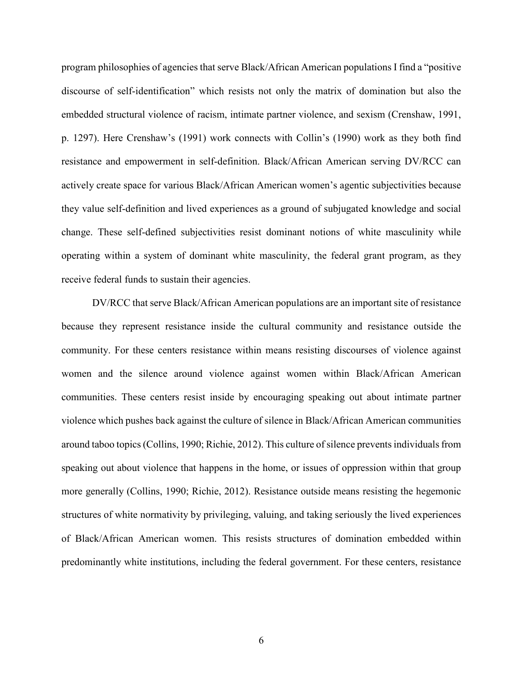program philosophies of agencies that serve Black/African American populations I find a "positive discourse of self-identification" which resists not only the matrix of domination but also the embedded structural violence of racism, intimate partner violence, and sexism (Crenshaw, 1991, p. 1297). Here Crenshaw's (1991) work connects with Collin's (1990) work as they both find resistance and empowerment in self-definition. Black/African American serving DV/RCC can actively create space for various Black/African American women's agentic subjectivities because they value self-definition and lived experiences as a ground of subjugated knowledge and social change. These self-defined subjectivities resist dominant notions of white masculinity while operating within a system of dominant white masculinity, the federal grant program, as they receive federal funds to sustain their agencies.

DV/RCC that serve Black/African American populations are an important site of resistance because they represent resistance inside the cultural community and resistance outside the community. For these centers resistance within means resisting discourses of violence against women and the silence around violence against women within Black/African American communities. These centers resist inside by encouraging speaking out about intimate partner violence which pushes back against the culture of silence in Black/African American communities around taboo topics (Collins, 1990; Richie, 2012). This culture of silence prevents individuals from speaking out about violence that happens in the home, or issues of oppression within that group more generally (Collins, 1990; Richie, 2012). Resistance outside means resisting the hegemonic structures of white normativity by privileging, valuing, and taking seriously the lived experiences of Black/African American women. This resists structures of domination embedded within predominantly white institutions, including the federal government. For these centers, resistance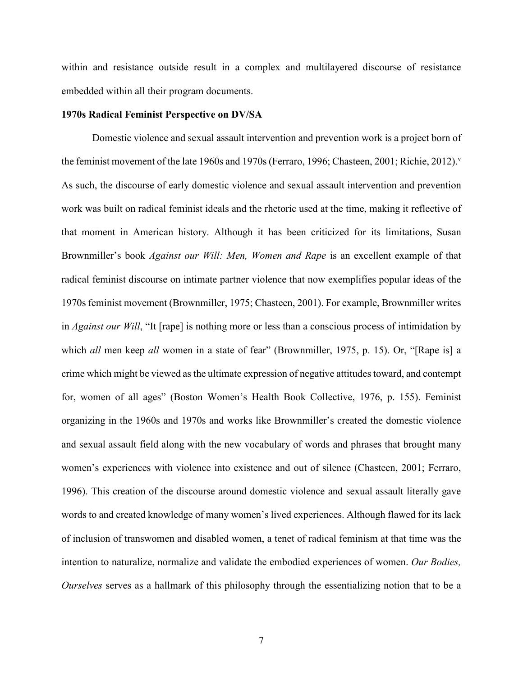within and resistance outside result in a complex and multilayered discourse of resistance embedded within all their program documents.

## **1970s Radical Feminist Perspective on DV/SA**

Domestic violence and sexual assault intervention and prevention work is a project born of the feminist movement of the late 1960s and 1970s (Ferraro, 1996; Chasteen, 2001; Richie, 2012).<sup>v</sup> As such, the discourse of early domestic violence and sexual assault intervention and prevention work was built on radical feminist ideals and the rhetoric used at the time, making it reflective of that moment in American history. Although it has been criticized for its limitations, Susan Brownmiller's book *Against our Will: Men, Women and Rape* is an excellent example of that radical feminist discourse on intimate partner violence that now exemplifies popular ideas of the 1970s feminist movement (Brownmiller, 1975; Chasteen, 2001). For example, Brownmiller writes in *Against our Will*, "It [rape] is nothing more or less than a conscious process of intimidation by which *all* men keep *all* women in a state of fear" (Brownmiller, 1975, p. 15). Or, "[Rape is] a crime which might be viewed as the ultimate expression of negative attitudes toward, and contempt for, women of all ages" (Boston Women's Health Book Collective, 1976, p. 155). Feminist organizing in the 1960s and 1970s and works like Brownmiller's created the domestic violence and sexual assault field along with the new vocabulary of words and phrases that brought many women's experiences with violence into existence and out of silence (Chasteen, 2001; Ferraro, 1996). This creation of the discourse around domestic violence and sexual assault literally gave words to and created knowledge of many women's lived experiences. Although flawed for its lack of inclusion of transwomen and disabled women, a tenet of radical feminism at that time was the intention to naturalize, normalize and validate the embodied experiences of women. *Our Bodies, Ourselves* serves as a hallmark of this philosophy through the essentializing notion that to be a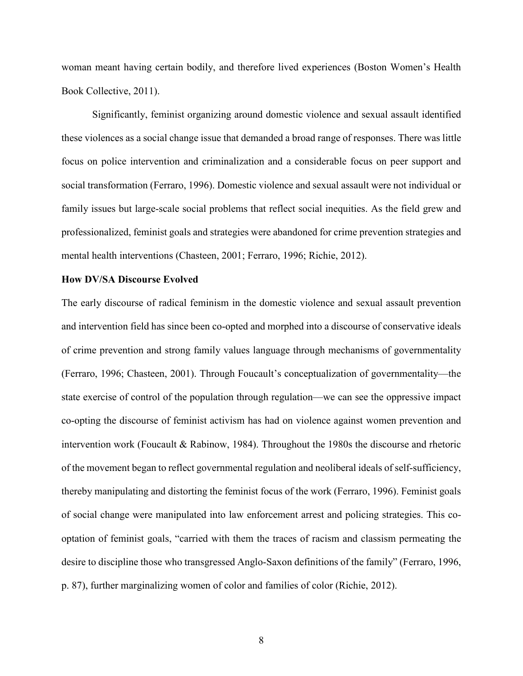woman meant having certain bodily, and therefore lived experiences (Boston Women's Health Book Collective, 2011).

 Significantly, feminist organizing around domestic violence and sexual assault identified these violences as a social change issue that demanded a broad range of responses. There was little focus on police intervention and criminalization and a considerable focus on peer support and social transformation (Ferraro, 1996). Domestic violence and sexual assault were not individual or family issues but large-scale social problems that reflect social inequities. As the field grew and professionalized, feminist goals and strategies were abandoned for crime prevention strategies and mental health interventions (Chasteen, 2001; Ferraro, 1996; Richie, 2012).

#### **How DV/SA Discourse Evolved**

The early discourse of radical feminism in the domestic violence and sexual assault prevention and intervention field has since been co-opted and morphed into a discourse of conservative ideals of crime prevention and strong family values language through mechanisms of governmentality (Ferraro, 1996; Chasteen, 2001). Through Foucault's conceptualization of governmentality—the state exercise of control of the population through regulation—we can see the oppressive impact co-opting the discourse of feminist activism has had on violence against women prevention and intervention work (Foucault  $\&$  Rabinow, 1984). Throughout the 1980s the discourse and rhetoric of the movement began to reflect governmental regulation and neoliberal ideals of self-sufficiency, thereby manipulating and distorting the feminist focus of the work (Ferraro, 1996). Feminist goals of social change were manipulated into law enforcement arrest and policing strategies. This cooptation of feminist goals, "carried with them the traces of racism and classism permeating the desire to discipline those who transgressed Anglo-Saxon definitions of the family" (Ferraro, 1996, p. 87), further marginalizing women of color and families of color (Richie, 2012).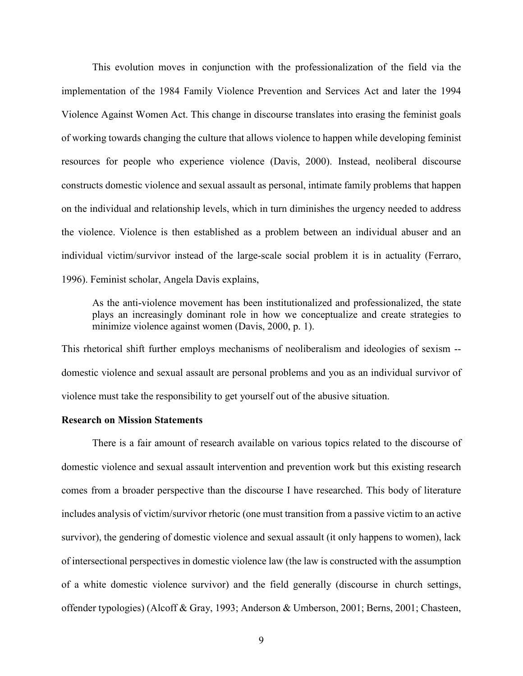This evolution moves in conjunction with the professionalization of the field via the implementation of the 1984 Family Violence Prevention and Services Act and later the 1994 Violence Against Women Act. This change in discourse translates into erasing the feminist goals of working towards changing the culture that allows violence to happen while developing feminist resources for people who experience violence (Davis, 2000). Instead, neoliberal discourse constructs domestic violence and sexual assault as personal, intimate family problems that happen on the individual and relationship levels, which in turn diminishes the urgency needed to address the violence. Violence is then established as a problem between an individual abuser and an individual victim/survivor instead of the large-scale social problem it is in actuality (Ferraro, 1996). Feminist scholar, Angela Davis explains,

As the anti-violence movement has been institutionalized and professionalized, the state plays an increasingly dominant role in how we conceptualize and create strategies to minimize violence against women (Davis, 2000, p. 1).

This rhetorical shift further employs mechanisms of neoliberalism and ideologies of sexism - domestic violence and sexual assault are personal problems and you as an individual survivor of violence must take the responsibility to get yourself out of the abusive situation.

#### **Research on Mission Statements**

There is a fair amount of research available on various topics related to the discourse of domestic violence and sexual assault intervention and prevention work but this existing research comes from a broader perspective than the discourse I have researched. This body of literature includes analysis of victim/survivor rhetoric (one must transition from a passive victim to an active survivor), the gendering of domestic violence and sexual assault (it only happens to women), lack of intersectional perspectives in domestic violence law (the law is constructed with the assumption of a white domestic violence survivor) and the field generally (discourse in church settings, offender typologies) (Alcoff & Gray, 1993; Anderson & Umberson, 2001; Berns, 2001; Chasteen,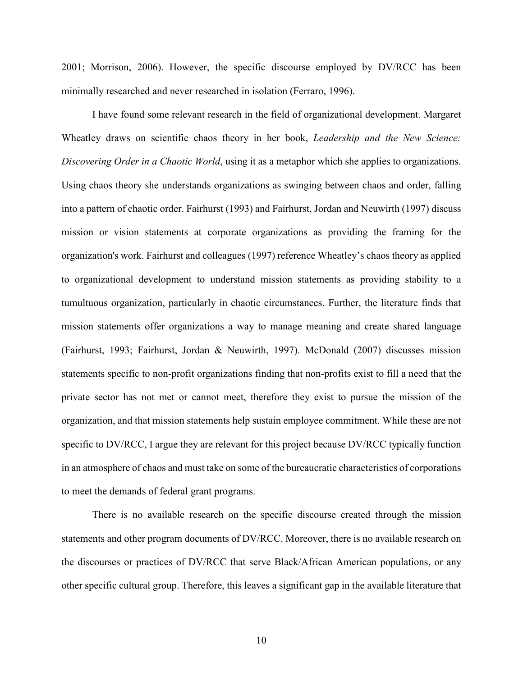2001; Morrison, 2006). However, the specific discourse employed by DV/RCC has been minimally researched and never researched in isolation (Ferraro, 1996).

I have found some relevant research in the field of organizational development. Margaret Wheatley draws on scientific chaos theory in her book, *Leadership and the New Science: Discovering Order in a Chaotic World*, using it as a metaphor which she applies to organizations. Using chaos theory she understands organizations as swinging between chaos and order, falling into a pattern of chaotic order. Fairhurst (1993) and Fairhurst, Jordan and Neuwirth (1997) discuss mission or vision statements at corporate organizations as providing the framing for the organization's work. Fairhurst and colleagues (1997) reference Wheatley's chaos theory as applied to organizational development to understand mission statements as providing stability to a tumultuous organization, particularly in chaotic circumstances. Further, the literature finds that mission statements offer organizations a way to manage meaning and create shared language (Fairhurst, 1993; Fairhurst, Jordan & Neuwirth, 1997). McDonald (2007) discusses mission statements specific to non-profit organizations finding that non-profits exist to fill a need that the private sector has not met or cannot meet, therefore they exist to pursue the mission of the organization, and that mission statements help sustain employee commitment. While these are not specific to DV/RCC, I argue they are relevant for this project because DV/RCC typically function in an atmosphere of chaos and must take on some of the bureaucratic characteristics of corporations to meet the demands of federal grant programs.

There is no available research on the specific discourse created through the mission statements and other program documents of DV/RCC. Moreover, there is no available research on the discourses or practices of DV/RCC that serve Black/African American populations, or any other specific cultural group. Therefore, this leaves a significant gap in the available literature that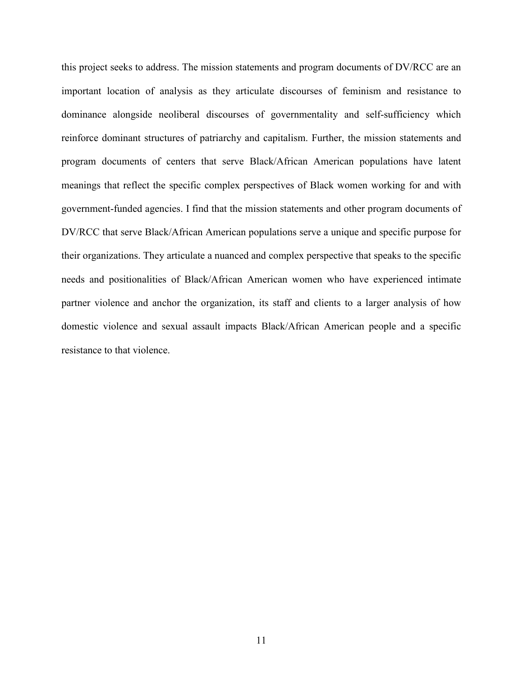this project seeks to address. The mission statements and program documents of DV/RCC are an important location of analysis as they articulate discourses of feminism and resistance to dominance alongside neoliberal discourses of governmentality and self-sufficiency which reinforce dominant structures of patriarchy and capitalism. Further, the mission statements and program documents of centers that serve Black/African American populations have latent meanings that reflect the specific complex perspectives of Black women working for and with government-funded agencies. I find that the mission statements and other program documents of DV/RCC that serve Black/African American populations serve a unique and specific purpose for their organizations. They articulate a nuanced and complex perspective that speaks to the specific needs and positionalities of Black/African American women who have experienced intimate partner violence and anchor the organization, its staff and clients to a larger analysis of how domestic violence and sexual assault impacts Black/African American people and a specific resistance to that violence.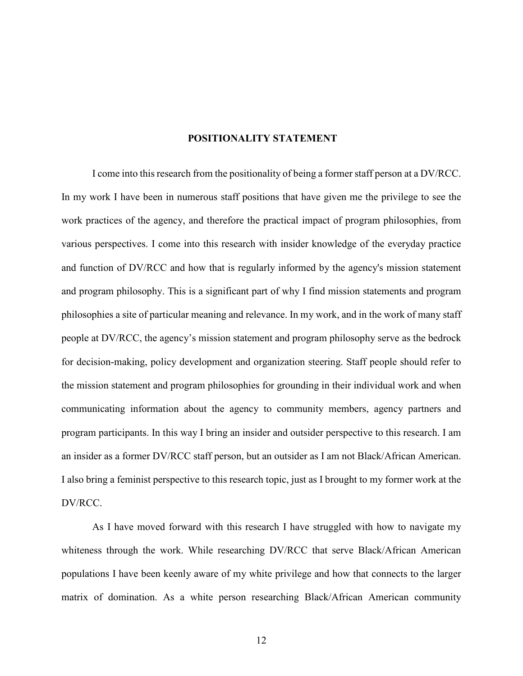#### **POSITIONALITY STATEMENT**

I come into this research from the positionality of being a former staff person at a DV/RCC. In my work I have been in numerous staff positions that have given me the privilege to see the work practices of the agency, and therefore the practical impact of program philosophies, from various perspectives. I come into this research with insider knowledge of the everyday practice and function of DV/RCC and how that is regularly informed by the agency's mission statement and program philosophy. This is a significant part of why I find mission statements and program philosophies a site of particular meaning and relevance. In my work, and in the work of many staff people at DV/RCC, the agency's mission statement and program philosophy serve as the bedrock for decision-making, policy development and organization steering. Staff people should refer to the mission statement and program philosophies for grounding in their individual work and when communicating information about the agency to community members, agency partners and program participants. In this way I bring an insider and outsider perspective to this research. I am an insider as a former DV/RCC staff person, but an outsider as I am not Black/African American. I also bring a feminist perspective to this research topic, just as I brought to my former work at the DV/RCC.

As I have moved forward with this research I have struggled with how to navigate my whiteness through the work. While researching DV/RCC that serve Black/African American populations I have been keenly aware of my white privilege and how that connects to the larger matrix of domination. As a white person researching Black/African American community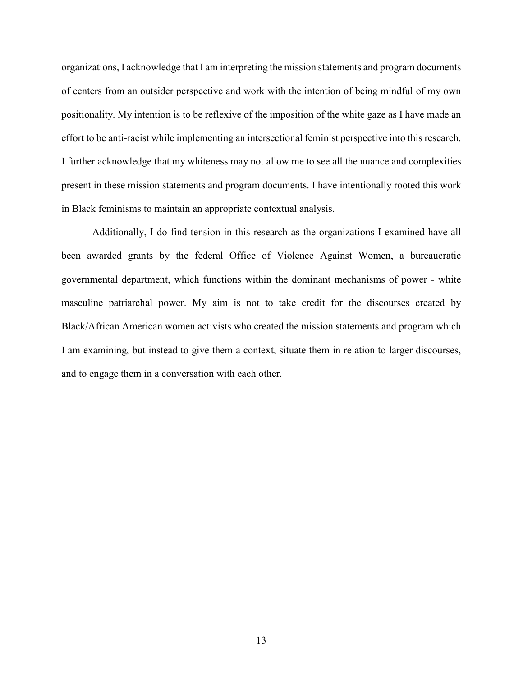organizations, I acknowledge that I am interpreting the mission statements and program documents of centers from an outsider perspective and work with the intention of being mindful of my own positionality. My intention is to be reflexive of the imposition of the white gaze as I have made an effort to be anti-racist while implementing an intersectional feminist perspective into this research. I further acknowledge that my whiteness may not allow me to see all the nuance and complexities present in these mission statements and program documents. I have intentionally rooted this work in Black feminisms to maintain an appropriate contextual analysis.

Additionally, I do find tension in this research as the organizations I examined have all been awarded grants by the federal Office of Violence Against Women, a bureaucratic governmental department, which functions within the dominant mechanisms of power - white masculine patriarchal power. My aim is not to take credit for the discourses created by Black/African American women activists who created the mission statements and program which I am examining, but instead to give them a context, situate them in relation to larger discourses, and to engage them in a conversation with each other.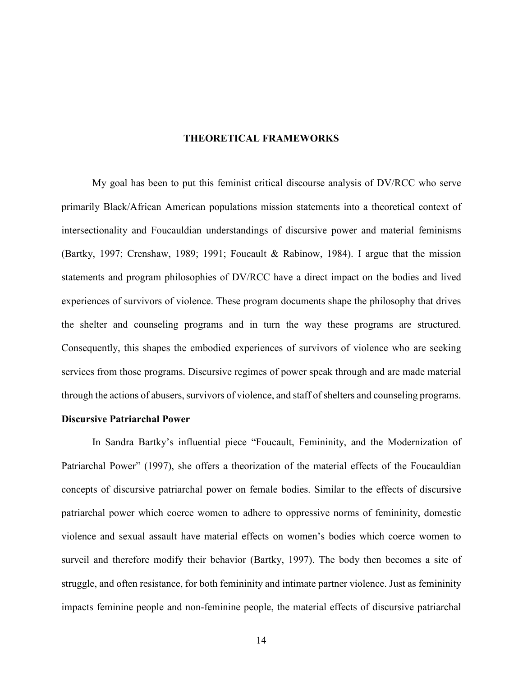#### **THEORETICAL FRAMEWORKS**

My goal has been to put this feminist critical discourse analysis of DV/RCC who serve primarily Black/African American populations mission statements into a theoretical context of intersectionality and Foucauldian understandings of discursive power and material feminisms (Bartky, 1997; Crenshaw, 1989; 1991; Foucault & Rabinow, 1984). I argue that the mission statements and program philosophies of DV/RCC have a direct impact on the bodies and lived experiences of survivors of violence. These program documents shape the philosophy that drives the shelter and counseling programs and in turn the way these programs are structured. Consequently, this shapes the embodied experiences of survivors of violence who are seeking services from those programs. Discursive regimes of power speak through and are made material through the actions of abusers, survivors of violence, and staff of shelters and counseling programs.

# **Discursive Patriarchal Power**

In Sandra Bartky's influential piece "Foucault, Femininity, and the Modernization of Patriarchal Power" (1997), she offers a theorization of the material effects of the Foucauldian concepts of discursive patriarchal power on female bodies. Similar to the effects of discursive patriarchal power which coerce women to adhere to oppressive norms of femininity, domestic violence and sexual assault have material effects on women's bodies which coerce women to surveil and therefore modify their behavior (Bartky, 1997). The body then becomes a site of struggle, and often resistance, for both femininity and intimate partner violence. Just as femininity impacts feminine people and non-feminine people, the material effects of discursive patriarchal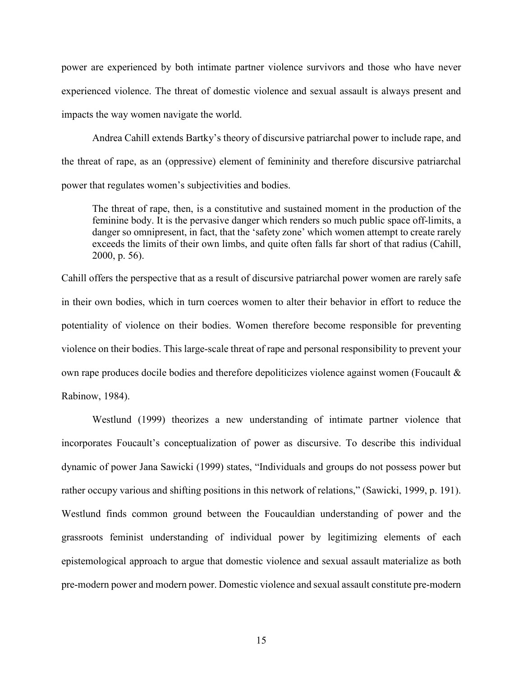power are experienced by both intimate partner violence survivors and those who have never experienced violence. The threat of domestic violence and sexual assault is always present and impacts the way women navigate the world.

Andrea Cahill extends Bartky's theory of discursive patriarchal power to include rape, and the threat of rape, as an (oppressive) element of femininity and therefore discursive patriarchal power that regulates women's subjectivities and bodies.

The threat of rape, then, is a constitutive and sustained moment in the production of the feminine body. It is the pervasive danger which renders so much public space off-limits, a danger so omnipresent, in fact, that the 'safety zone' which women attempt to create rarely exceeds the limits of their own limbs, and quite often falls far short of that radius (Cahill, 2000, p. 56).

Cahill offers the perspective that as a result of discursive patriarchal power women are rarely safe in their own bodies, which in turn coerces women to alter their behavior in effort to reduce the potentiality of violence on their bodies. Women therefore become responsible for preventing violence on their bodies. This large-scale threat of rape and personal responsibility to prevent your own rape produces docile bodies and therefore depoliticizes violence against women (Foucault & Rabinow, 1984).

Westlund (1999) theorizes a new understanding of intimate partner violence that incorporates Foucault's conceptualization of power as discursive. To describe this individual dynamic of power Jana Sawicki (1999) states, "Individuals and groups do not possess power but rather occupy various and shifting positions in this network of relations," (Sawicki, 1999, p. 191). Westlund finds common ground between the Foucauldian understanding of power and the grassroots feminist understanding of individual power by legitimizing elements of each epistemological approach to argue that domestic violence and sexual assault materialize as both pre-modern power and modern power. Domestic violence and sexual assault constitute pre-modern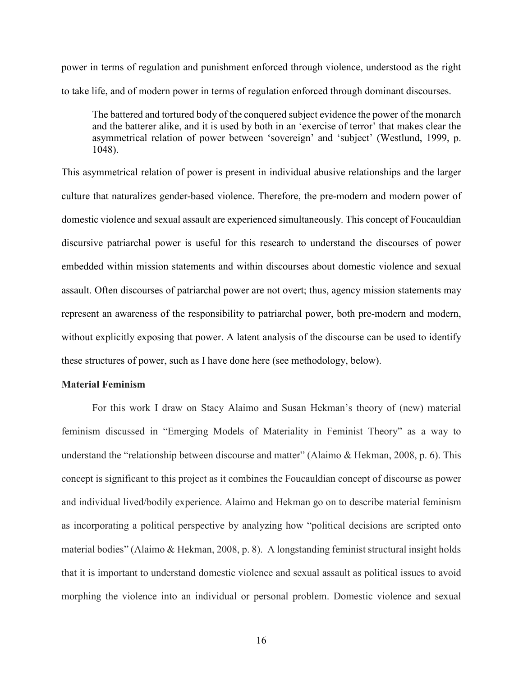power in terms of regulation and punishment enforced through violence, understood as the right to take life, and of modern power in terms of regulation enforced through dominant discourses.

The battered and tortured body of the conquered subject evidence the power of the monarch and the batterer alike, and it is used by both in an 'exercise of terror' that makes clear the asymmetrical relation of power between 'sovereign' and 'subject' (Westlund, 1999, p. 1048).

This asymmetrical relation of power is present in individual abusive relationships and the larger culture that naturalizes gender-based violence. Therefore, the pre-modern and modern power of domestic violence and sexual assault are experienced simultaneously. This concept of Foucauldian discursive patriarchal power is useful for this research to understand the discourses of power embedded within mission statements and within discourses about domestic violence and sexual assault. Often discourses of patriarchal power are not overt; thus, agency mission statements may represent an awareness of the responsibility to patriarchal power, both pre-modern and modern, without explicitly exposing that power. A latent analysis of the discourse can be used to identify these structures of power, such as I have done here (see methodology, below).

# **Material Feminism**

For this work I draw on Stacy Alaimo and Susan Hekman's theory of (new) material feminism discussed in "Emerging Models of Materiality in Feminist Theory" as a way to understand the "relationship between discourse and matter" (Alaimo & Hekman, 2008, p. 6). This concept is significant to this project as it combines the Foucauldian concept of discourse as power and individual lived/bodily experience. Alaimo and Hekman go on to describe material feminism as incorporating a political perspective by analyzing how "political decisions are scripted onto material bodies" (Alaimo & Hekman, 2008, p. 8). A longstanding feminist structural insight holds that it is important to understand domestic violence and sexual assault as political issues to avoid morphing the violence into an individual or personal problem. Domestic violence and sexual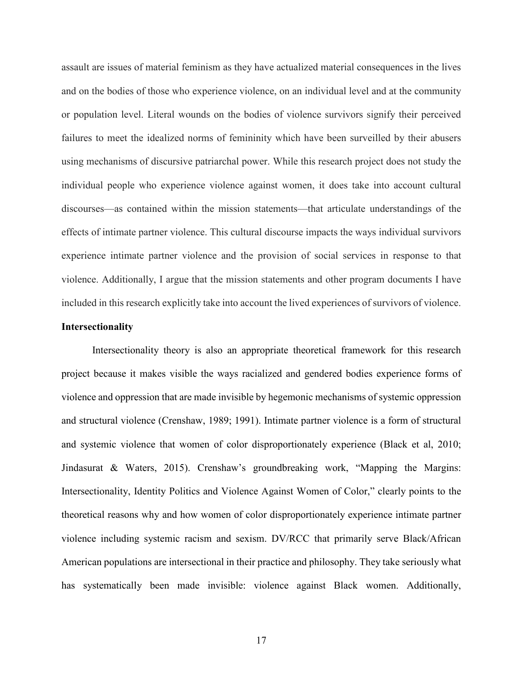assault are issues of material feminism as they have actualized material consequences in the lives and on the bodies of those who experience violence, on an individual level and at the community or population level. Literal wounds on the bodies of violence survivors signify their perceived failures to meet the idealized norms of femininity which have been surveilled by their abusers using mechanisms of discursive patriarchal power. While this research project does not study the individual people who experience violence against women, it does take into account cultural discourses—as contained within the mission statements—that articulate understandings of the effects of intimate partner violence. This cultural discourse impacts the ways individual survivors experience intimate partner violence and the provision of social services in response to that violence. Additionally, I argue that the mission statements and other program documents I have included in this research explicitly take into account the lived experiences of survivors of violence.

#### **Intersectionality**

Intersectionality theory is also an appropriate theoretical framework for this research project because it makes visible the ways racialized and gendered bodies experience forms of violence and oppression that are made invisible by hegemonic mechanisms of systemic oppression and structural violence (Crenshaw, 1989; 1991). Intimate partner violence is a form of structural and systemic violence that women of color disproportionately experience (Black et al, 2010; Jindasurat & Waters, 2015). Crenshaw's groundbreaking work, "Mapping the Margins: Intersectionality, Identity Politics and Violence Against Women of Color," clearly points to the theoretical reasons why and how women of color disproportionately experience intimate partner violence including systemic racism and sexism. DV/RCC that primarily serve Black/African American populations are intersectional in their practice and philosophy. They take seriously what has systematically been made invisible: violence against Black women. Additionally,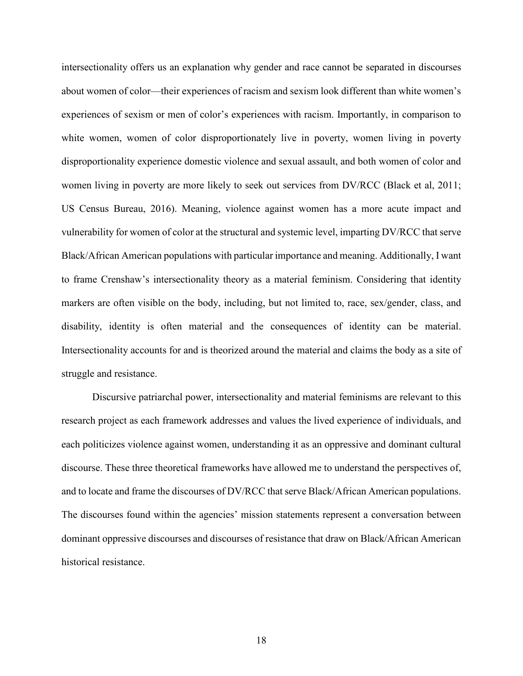intersectionality offers us an explanation why gender and race cannot be separated in discourses about women of color—their experiences of racism and sexism look different than white women's experiences of sexism or men of color's experiences with racism. Importantly, in comparison to white women, women of color disproportionately live in poverty, women living in poverty disproportionality experience domestic violence and sexual assault, and both women of color and women living in poverty are more likely to seek out services from DV/RCC (Black et al, 2011; US Census Bureau, 2016). Meaning, violence against women has a more acute impact and vulnerability for women of color at the structural and systemic level, imparting DV/RCC that serve Black/African American populations with particular importance and meaning. Additionally, I want to frame Crenshaw's intersectionality theory as a material feminism. Considering that identity markers are often visible on the body, including, but not limited to, race, sex/gender, class, and disability, identity is often material and the consequences of identity can be material. Intersectionality accounts for and is theorized around the material and claims the body as a site of struggle and resistance.

 Discursive patriarchal power, intersectionality and material feminisms are relevant to this research project as each framework addresses and values the lived experience of individuals, and each politicizes violence against women, understanding it as an oppressive and dominant cultural discourse. These three theoretical frameworks have allowed me to understand the perspectives of, and to locate and frame the discourses of DV/RCC that serve Black/African American populations. The discourses found within the agencies' mission statements represent a conversation between dominant oppressive discourses and discourses of resistance that draw on Black/African American historical resistance.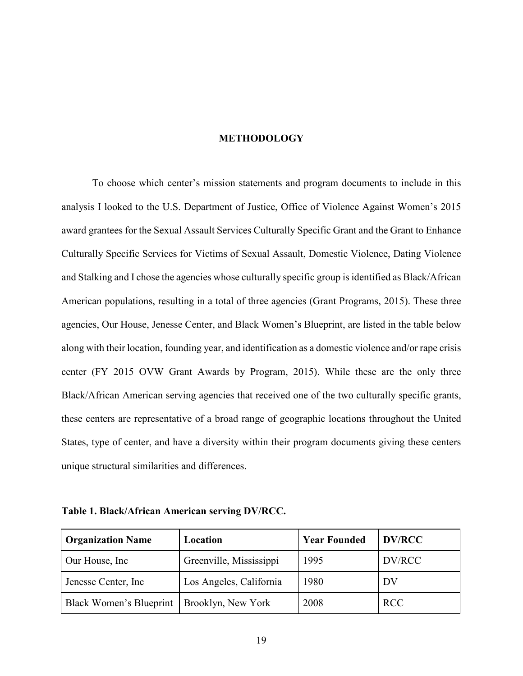# **METHODOLOGY**

To choose which center's mission statements and program documents to include in this analysis I looked to the U.S. Department of Justice, Office of Violence Against Women's 2015 award grantees for the Sexual Assault Services Culturally Specific Grant and the Grant to Enhance Culturally Specific Services for Victims of Sexual Assault, Domestic Violence, Dating Violence and Stalking and I chose the agencies whose culturally specific group is identified as Black/African American populations, resulting in a total of three agencies (Grant Programs, 2015). These three agencies, Our House, Jenesse Center, and Black Women's Blueprint, are listed in the table below along with their location, founding year, and identification as a domestic violence and/or rape crisis center (FY 2015 OVW Grant Awards by Program, 2015). While these are the only three Black/African American serving agencies that received one of the two culturally specific grants, these centers are representative of a broad range of geographic locations throughout the United States, type of center, and have a diversity within their program documents giving these centers unique structural similarities and differences.

**Table 1. Black/African American serving DV/RCC.**

| <b>Organization Name</b> | Location                | <b>Year Founded</b> | <b>DV/RCC</b> |
|--------------------------|-------------------------|---------------------|---------------|
| Our House, Inc.          | Greenville, Mississippi | 1995                | DV/RCC        |
| Jenesse Center, Inc.     | Los Angeles, California | 1980                | DV            |
| Black Women's Blueprint  | Brooklyn, New York      | 2008                | <b>RCC</b>    |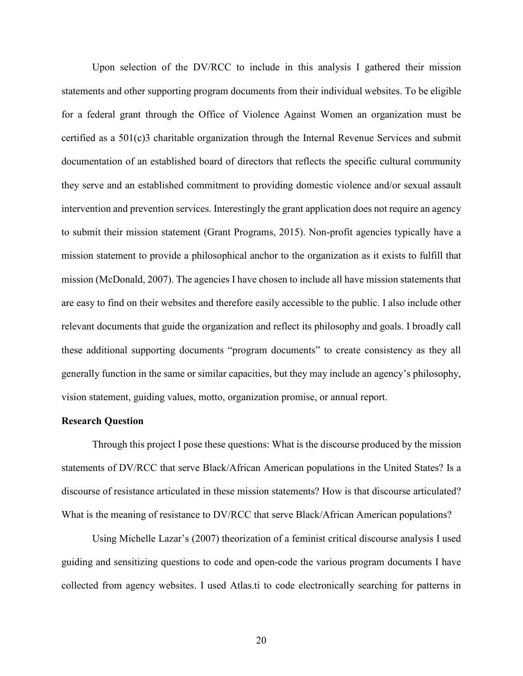Upon selection of the DV/RCC to include in this analysis I gathered their mission statements and other supporting program documents from their individual websites. To be eligible for a federal grant through the Office of Violence Against Women an organization must be certified as a 501(c)3 charitable organization through the Internal Revenue Services and submit documentation of an established board of directors that reflects the specific cultural community they serve and an established commitment to providing domestic violence and/or sexual assault intervention and prevention services. Interestingly the grant application does not require an agency to submit their mission statement (Grant Programs, 2015). Non-profit agencies typically have a mission statement to provide a philosophical anchor to the organization as it exists to fulfill that mission (McDonald, 2007). The agencies I have chosen to include all have mission statements that are easy to find on their websites and therefore easily accessible to the public. I also include other relevant documents that guide the organization and reflect its philosophy and goals. I broadly call these additional supporting documents "program documents" to create consistency as they all generally function in the same or similar capacities, but they may include an agency's philosophy, vision statement, guiding values, motto, organization promise, or annual report.

#### **Research Question**

Through this project I pose these questions: What is the discourse produced by the mission statements of DV/RCC that serve Black/African American populations in the United States? Is a discourse of resistance articulated in these mission statements? How is that discourse articulated? What is the meaning of resistance to DV/RCC that serve Black/African American populations?

Using Michelle Lazar's (2007) theorization of a feminist critical discourse analysis I used guiding and sensitizing questions to code and open-code the various program documents I have collected from agency websites. I used Atlas.ti to code electronically searching for patterns in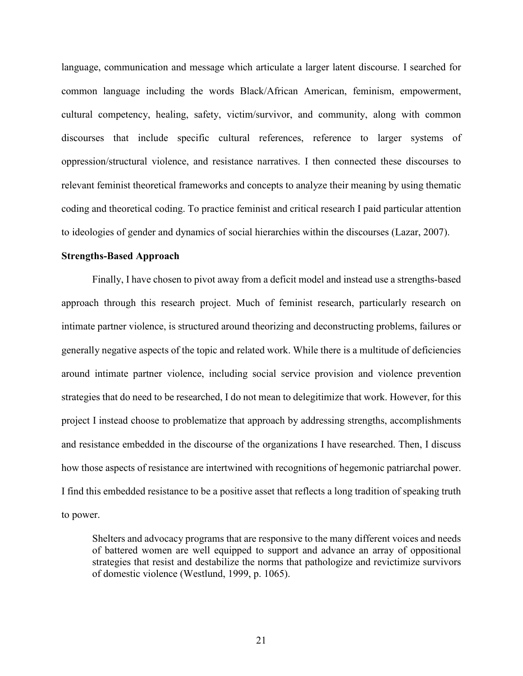language, communication and message which articulate a larger latent discourse. I searched for common language including the words Black/African American, feminism, empowerment, cultural competency, healing, safety, victim/survivor, and community, along with common discourses that include specific cultural references, reference to larger systems of oppression/structural violence, and resistance narratives. I then connected these discourses to relevant feminist theoretical frameworks and concepts to analyze their meaning by using thematic coding and theoretical coding. To practice feminist and critical research I paid particular attention to ideologies of gender and dynamics of social hierarchies within the discourses (Lazar, 2007).

#### **Strengths-Based Approach**

 Finally, I have chosen to pivot away from a deficit model and instead use a strengths-based approach through this research project. Much of feminist research, particularly research on intimate partner violence, is structured around theorizing and deconstructing problems, failures or generally negative aspects of the topic and related work. While there is a multitude of deficiencies around intimate partner violence, including social service provision and violence prevention strategies that do need to be researched, I do not mean to delegitimize that work. However, for this project I instead choose to problematize that approach by addressing strengths, accomplishments and resistance embedded in the discourse of the organizations I have researched. Then, I discuss how those aspects of resistance are intertwined with recognitions of hegemonic patriarchal power. I find this embedded resistance to be a positive asset that reflects a long tradition of speaking truth to power.

Shelters and advocacy programs that are responsive to the many different voices and needs of battered women are well equipped to support and advance an array of oppositional strategies that resist and destabilize the norms that pathologize and revictimize survivors of domestic violence (Westlund, 1999, p. 1065).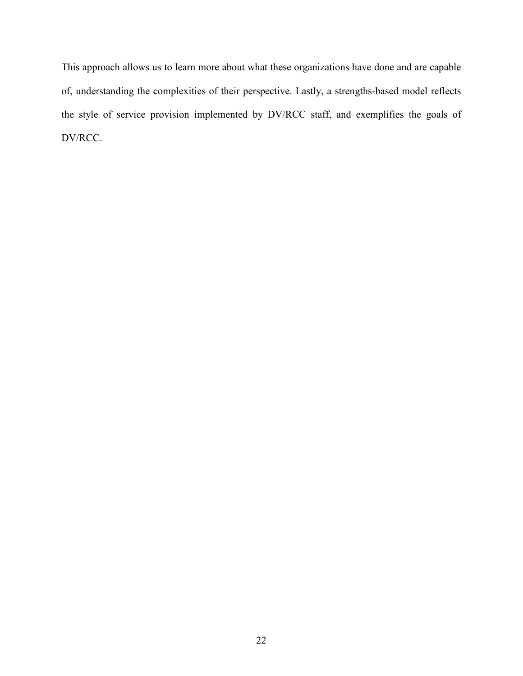This approach allows us to learn more about what these organizations have done and are capable of, understanding the complexities of their perspective. Lastly, a strengths-based model reflects the style of service provision implemented by DV/RCC staff, and exemplifies the goals of DV/RCC.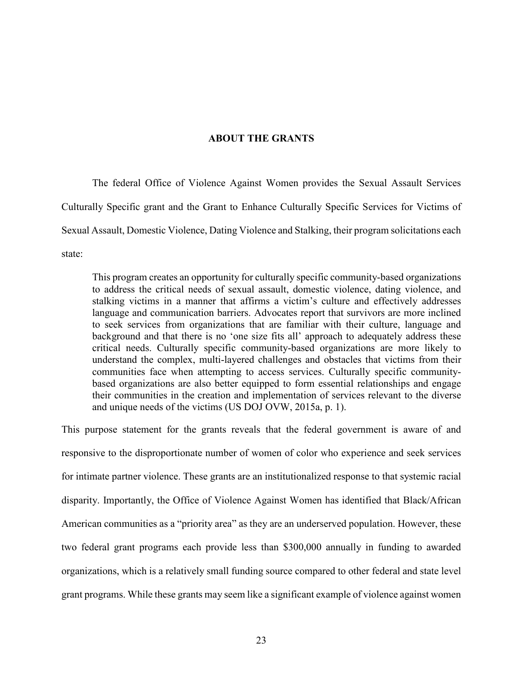# **ABOUT THE GRANTS**

 The federal Office of Violence Against Women provides the Sexual Assault Services Culturally Specific grant and the Grant to Enhance Culturally Specific Services for Victims of Sexual Assault, Domestic Violence, Dating Violence and Stalking, their program solicitations each state:

This program creates an opportunity for culturally specific community-based organizations to address the critical needs of sexual assault, domestic violence, dating violence, and stalking victims in a manner that affirms a victim's culture and effectively addresses language and communication barriers. Advocates report that survivors are more inclined to seek services from organizations that are familiar with their culture, language and background and that there is no 'one size fits all' approach to adequately address these critical needs. Culturally specific community-based organizations are more likely to understand the complex, multi-layered challenges and obstacles that victims from their communities face when attempting to access services. Culturally specific communitybased organizations are also better equipped to form essential relationships and engage their communities in the creation and implementation of services relevant to the diverse and unique needs of the victims (US DOJ OVW, 2015a, p. 1).

This purpose statement for the grants reveals that the federal government is aware of and responsive to the disproportionate number of women of color who experience and seek services for intimate partner violence. These grants are an institutionalized response to that systemic racial disparity. Importantly, the Office of Violence Against Women has identified that Black/African American communities as a "priority area" as they are an underserved population. However, these two federal grant programs each provide less than \$300,000 annually in funding to awarded organizations, which is a relatively small funding source compared to other federal and state level grant programs. While these grants may seem like a significant example of violence against women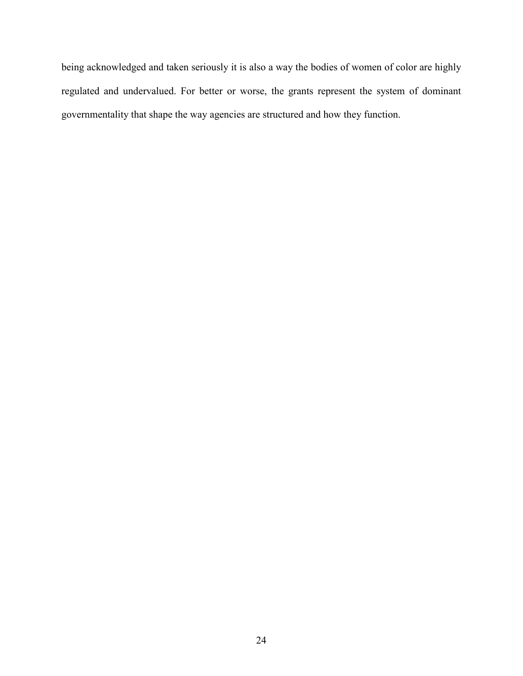being acknowledged and taken seriously it is also a way the bodies of women of color are highly regulated and undervalued. For better or worse, the grants represent the system of dominant governmentality that shape the way agencies are structured and how they function.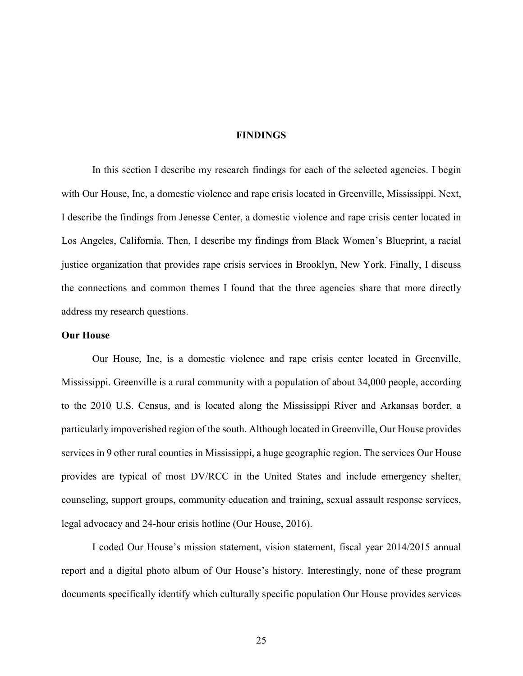#### **FINDINGS**

 In this section I describe my research findings for each of the selected agencies. I begin with Our House, Inc, a domestic violence and rape crisis located in Greenville, Mississippi. Next, I describe the findings from Jenesse Center, a domestic violence and rape crisis center located in Los Angeles, California. Then, I describe my findings from Black Women's Blueprint, a racial justice organization that provides rape crisis services in Brooklyn, New York. Finally, I discuss the connections and common themes I found that the three agencies share that more directly address my research questions.

# **Our House**

Our House, Inc, is a domestic violence and rape crisis center located in Greenville, Mississippi. Greenville is a rural community with a population of about 34,000 people, according to the 2010 U.S. Census, and is located along the Mississippi River and Arkansas border, a particularly impoverished region of the south. Although located in Greenville, Our House provides services in 9 other rural counties in Mississippi, a huge geographic region. The services Our House provides are typical of most DV/RCC in the United States and include emergency shelter, counseling, support groups, community education and training, sexual assault response services, legal advocacy and 24-hour crisis hotline (Our House, 2016).

I coded Our House's mission statement, vision statement, fiscal year 2014/2015 annual report and a digital photo album of Our House's history. Interestingly, none of these program documents specifically identify which culturally specific population Our House provides services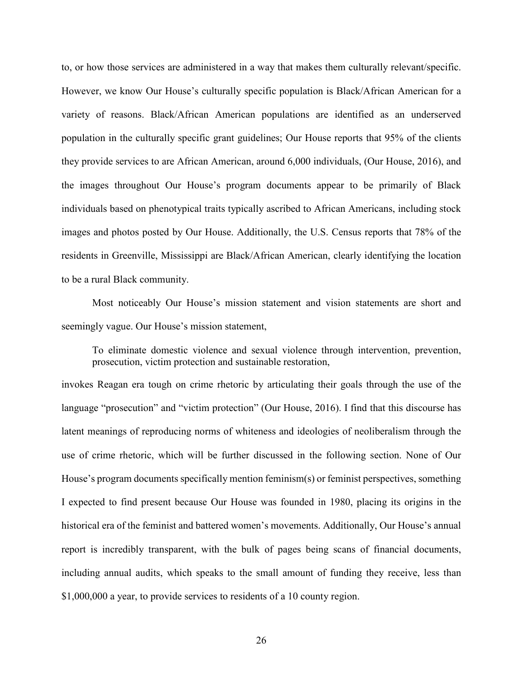to, or how those services are administered in a way that makes them culturally relevant/specific. However, we know Our House's culturally specific population is Black/African American for a variety of reasons. Black/African American populations are identified as an underserved population in the culturally specific grant guidelines; Our House reports that 95% of the clients they provide services to are African American, around 6,000 individuals, (Our House, 2016), and the images throughout Our House's program documents appear to be primarily of Black individuals based on phenotypical traits typically ascribed to African Americans, including stock images and photos posted by Our House. Additionally, the U.S. Census reports that 78% of the residents in Greenville, Mississippi are Black/African American, clearly identifying the location to be a rural Black community.

Most noticeably Our House's mission statement and vision statements are short and seemingly vague. Our House's mission statement,

To eliminate domestic violence and sexual violence through intervention, prevention, prosecution, victim protection and sustainable restoration,

invokes Reagan era tough on crime rhetoric by articulating their goals through the use of the language "prosecution" and "victim protection" (Our House, 2016). I find that this discourse has latent meanings of reproducing norms of whiteness and ideologies of neoliberalism through the use of crime rhetoric, which will be further discussed in the following section. None of Our House's program documents specifically mention feminism(s) or feminist perspectives, something I expected to find present because Our House was founded in 1980, placing its origins in the historical era of the feminist and battered women's movements. Additionally, Our House's annual report is incredibly transparent, with the bulk of pages being scans of financial documents, including annual audits, which speaks to the small amount of funding they receive, less than \$1,000,000 a year, to provide services to residents of a 10 county region.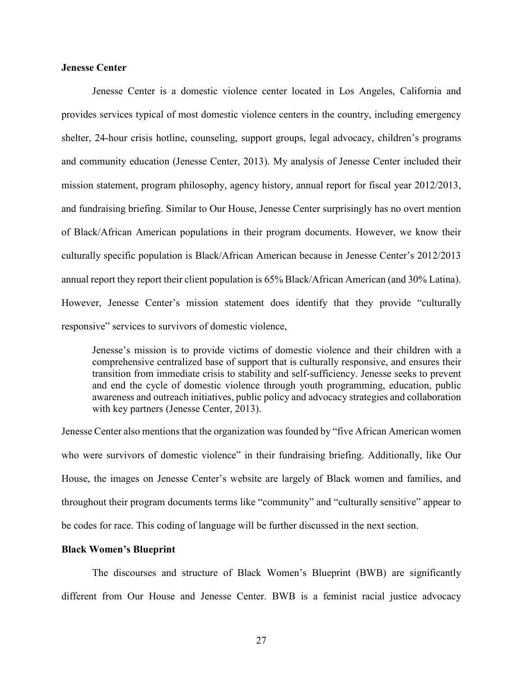# **Jenesse Center**

 Jenesse Center is a domestic violence center located in Los Angeles, California and provides services typical of most domestic violence centers in the country, including emergency shelter, 24-hour crisis hotline, counseling, support groups, legal advocacy, children's programs and community education (Jenesse Center, 2013). My analysis of Jenesse Center included their mission statement, program philosophy, agency history, annual report for fiscal year 2012/2013, and fundraising briefing. Similar to Our House, Jenesse Center surprisingly has no overt mention of Black/African American populations in their program documents. However, we know their culturally specific population is Black/African American because in Jenesse Center's 2012/2013 annual report they report their client population is 65% Black/African American (and 30% Latina). However, Jenesse Center's mission statement does identify that they provide "culturally responsive" services to survivors of domestic violence,

Jenesse's mission is to provide victims of domestic violence and their children with a comprehensive centralized base of support that is culturally responsive, and ensures their transition from immediate crisis to stability and self-sufficiency. Jenesse seeks to prevent and end the cycle of domestic violence through youth programming, education, public awareness and outreach initiatives, public policy and advocacy strategies and collaboration with key partners (Jenesse Center, 2013).

Jenesse Center also mentions that the organization was founded by "five African American women who were survivors of domestic violence" in their fundraising briefing. Additionally, like Our House, the images on Jenesse Center's website are largely of Black women and families, and throughout their program documents terms like "community" and "culturally sensitive" appear to be codes for race. This coding of language will be further discussed in the next section.

#### **Black Women's Blueprint**

The discourses and structure of Black Women's Blueprint (BWB) are significantly different from Our House and Jenesse Center. BWB is a feminist racial justice advocacy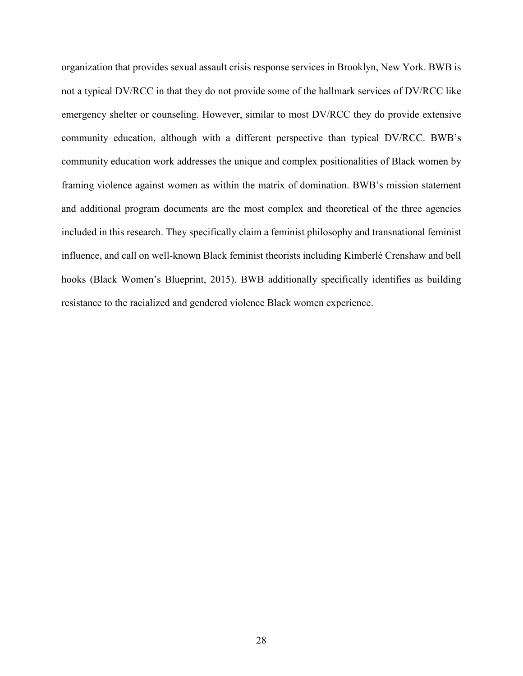organization that provides sexual assault crisis response services in Brooklyn, New York. BWB is not a typical DV/RCC in that they do not provide some of the hallmark services of DV/RCC like emergency shelter or counseling. However, similar to most DV/RCC they do provide extensive community education, although with a different perspective than typical DV/RCC. BWB's community education work addresses the unique and complex positionalities of Black women by framing violence against women as within the matrix of domination. BWB's mission statement and additional program documents are the most complex and theoretical of the three agencies included in this research. They specifically claim a feminist philosophy and transnational feminist influence, and call on well-known Black feminist theorists including Kimberlé Crenshaw and bell hooks (Black Women's Blueprint, 2015). BWB additionally specifically identifies as building resistance to the racialized and gendered violence Black women experience.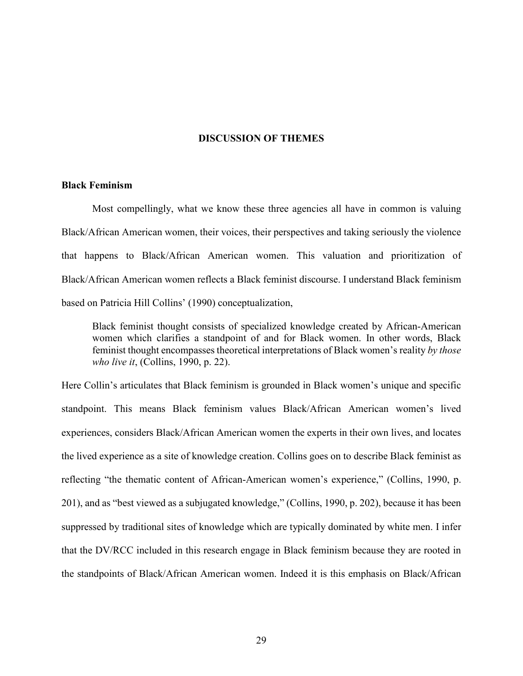#### **DISCUSSION OF THEMES**

#### **Black Feminism**

Most compellingly, what we know these three agencies all have in common is valuing Black/African American women, their voices, their perspectives and taking seriously the violence that happens to Black/African American women. This valuation and prioritization of Black/African American women reflects a Black feminist discourse. I understand Black feminism based on Patricia Hill Collins' (1990) conceptualization,

Black feminist thought consists of specialized knowledge created by African-American women which clarifies a standpoint of and for Black women. In other words, Black feminist thought encompasses theoretical interpretations of Black women's reality *by those who live it*, (Collins, 1990, p. 22).

Here Collin's articulates that Black feminism is grounded in Black women's unique and specific standpoint. This means Black feminism values Black/African American women's lived experiences, considers Black/African American women the experts in their own lives, and locates the lived experience as a site of knowledge creation. Collins goes on to describe Black feminist as reflecting "the thematic content of African-American women's experience," (Collins, 1990, p. 201), and as "best viewed as a subjugated knowledge," (Collins, 1990, p. 202), because it has been suppressed by traditional sites of knowledge which are typically dominated by white men. I infer that the DV/RCC included in this research engage in Black feminism because they are rooted in the standpoints of Black/African American women. Indeed it is this emphasis on Black/African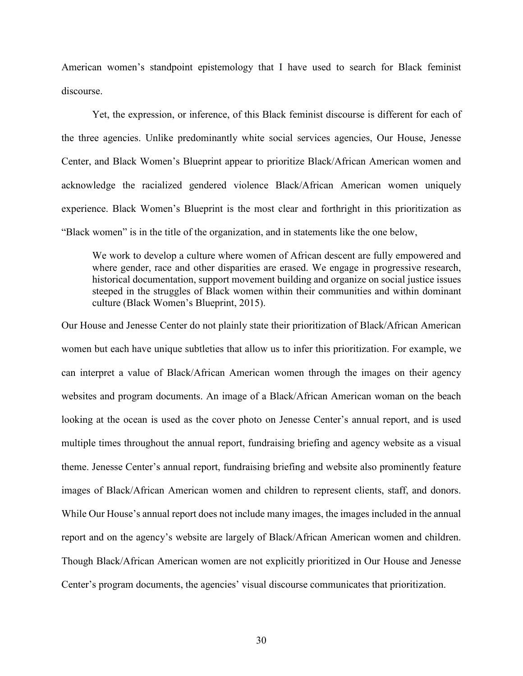American women's standpoint epistemology that I have used to search for Black feminist discourse.

Yet, the expression, or inference, of this Black feminist discourse is different for each of the three agencies. Unlike predominantly white social services agencies, Our House, Jenesse Center, and Black Women's Blueprint appear to prioritize Black/African American women and acknowledge the racialized gendered violence Black/African American women uniquely experience. Black Women's Blueprint is the most clear and forthright in this prioritization as "Black women" is in the title of the organization, and in statements like the one below,

We work to develop a culture where women of African descent are fully empowered and where gender, race and other disparities are erased. We engage in progressive research, historical documentation, support movement building and organize on social justice issues steeped in the struggles of Black women within their communities and within dominant culture (Black Women's Blueprint, 2015).

Our House and Jenesse Center do not plainly state their prioritization of Black/African American women but each have unique subtleties that allow us to infer this prioritization. For example, we can interpret a value of Black/African American women through the images on their agency websites and program documents. An image of a Black/African American woman on the beach looking at the ocean is used as the cover photo on Jenesse Center's annual report, and is used multiple times throughout the annual report, fundraising briefing and agency website as a visual theme. Jenesse Center's annual report, fundraising briefing and website also prominently feature images of Black/African American women and children to represent clients, staff, and donors. While Our House's annual report does not include many images, the images included in the annual report and on the agency's website are largely of Black/African American women and children. Though Black/African American women are not explicitly prioritized in Our House and Jenesse Center's program documents, the agencies' visual discourse communicates that prioritization.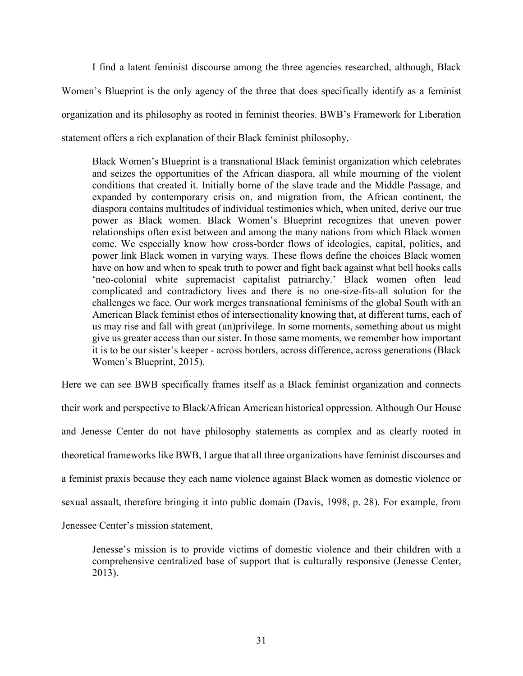I find a latent feminist discourse among the three agencies researched, although, Black Women's Blueprint is the only agency of the three that does specifically identify as a feminist organization and its philosophy as rooted in feminist theories. BWB's Framework for Liberation statement offers a rich explanation of their Black feminist philosophy,

Black Women's Blueprint is a transnational Black feminist organization which celebrates and seizes the opportunities of the African diaspora, all while mourning of the violent conditions that created it. Initially borne of the slave trade and the Middle Passage, and expanded by contemporary crisis on, and migration from, the African continent, the diaspora contains multitudes of individual testimonies which, when united, derive our true power as Black women. Black Women's Blueprint recognizes that uneven power relationships often exist between and among the many nations from which Black women come. We especially know how cross-border flows of ideologies, capital, politics, and power link Black women in varying ways. These flows define the choices Black women have on how and when to speak truth to power and fight back against what bell hooks calls 'neo-colonial white supremacist capitalist patriarchy.' Black women often lead complicated and contradictory lives and there is no one-size-fits-all solution for the challenges we face. Our work merges transnational feminisms of the global South with an American Black feminist ethos of intersectionality knowing that, at different turns, each of us may rise and fall with great (un)privilege. In some moments, something about us might give us greater access than our sister. In those same moments, we remember how important it is to be our sister's keeper - across borders, across difference, across generations (Black Women's Blueprint, 2015).

Here we can see BWB specifically frames itself as a Black feminist organization and connects their work and perspective to Black/African American historical oppression. Although Our House and Jenesse Center do not have philosophy statements as complex and as clearly rooted in theoretical frameworks like BWB, I argue that all three organizations have feminist discourses and a feminist praxis because they each name violence against Black women as domestic violence or sexual assault, therefore bringing it into public domain (Davis, 1998, p. 28). For example, from Jenessee Center's mission statement,

Jenesse's mission is to provide victims of domestic violence and their children with a comprehensive centralized base of support that is culturally responsive (Jenesse Center, 2013).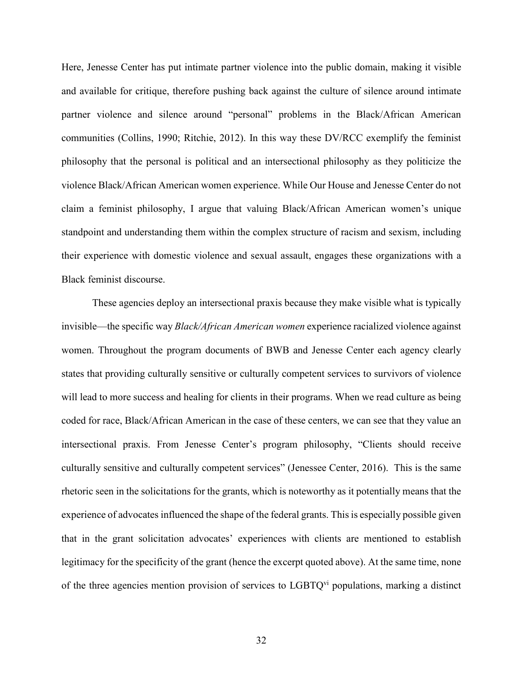Here, Jenesse Center has put intimate partner violence into the public domain, making it visible and available for critique, therefore pushing back against the culture of silence around intimate partner violence and silence around "personal" problems in the Black/African American communities (Collins, 1990; Ritchie, 2012). In this way these DV/RCC exemplify the feminist philosophy that the personal is political and an intersectional philosophy as they politicize the violence Black/African American women experience. While Our House and Jenesse Center do not claim a feminist philosophy, I argue that valuing Black/African American women's unique standpoint and understanding them within the complex structure of racism and sexism, including their experience with domestic violence and sexual assault, engages these organizations with a Black feminist discourse.

These agencies deploy an intersectional praxis because they make visible what is typically invisible—the specific way *Black/African American women* experience racialized violence against women. Throughout the program documents of BWB and Jenesse Center each agency clearly states that providing culturally sensitive or culturally competent services to survivors of violence will lead to more success and healing for clients in their programs. When we read culture as being coded for race, Black/African American in the case of these centers, we can see that they value an intersectional praxis. From Jenesse Center's program philosophy, "Clients should receive culturally sensitive and culturally competent services" (Jenessee Center, 2016). This is the same rhetoric seen in the solicitations for the grants, which is noteworthy as it potentially means that the experience of advocates influenced the shape of the federal grants. This is especially possible given that in the grant solicitation advocates' experiences with clients are mentioned to establish legitimacy for the specificity of the grant (hence the excerpt quoted above). At the same time, none of the three agencies mention provision of services to  $LGBTQ<sup>vi</sup>$  populations, marking a distinct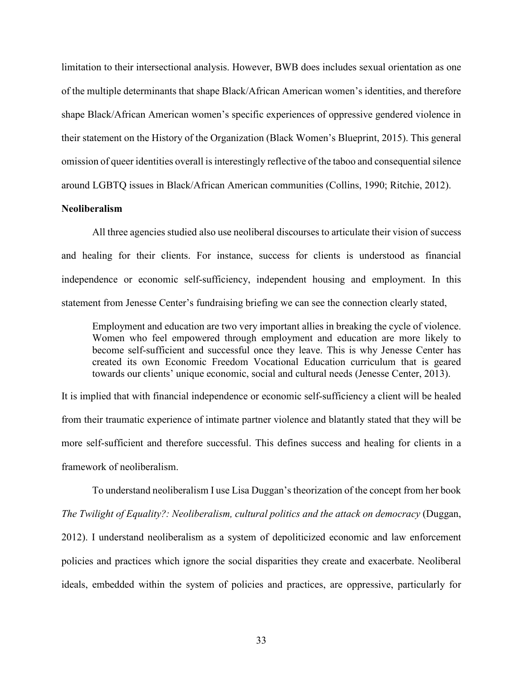limitation to their intersectional analysis. However, BWB does includes sexual orientation as one of the multiple determinants that shape Black/African American women's identities, and therefore shape Black/African American women's specific experiences of oppressive gendered violence in their statement on the History of the Organization (Black Women's Blueprint, 2015). This general omission of queer identities overall is interestingly reflective of the taboo and consequential silence around LGBTQ issues in Black/African American communities (Collins, 1990; Ritchie, 2012).

## **Neoliberalism**

All three agencies studied also use neoliberal discourses to articulate their vision of success and healing for their clients. For instance, success for clients is understood as financial independence or economic self-sufficiency, independent housing and employment. In this statement from Jenesse Center's fundraising briefing we can see the connection clearly stated,

Employment and education are two very important allies in breaking the cycle of violence. Women who feel empowered through employment and education are more likely to become self-sufficient and successful once they leave. This is why Jenesse Center has created its own Economic Freedom Vocational Education curriculum that is geared towards our clients' unique economic, social and cultural needs (Jenesse Center, 2013).

It is implied that with financial independence or economic self-sufficiency a client will be healed from their traumatic experience of intimate partner violence and blatantly stated that they will be more self-sufficient and therefore successful. This defines success and healing for clients in a framework of neoliberalism.

To understand neoliberalism I use Lisa Duggan's theorization of the concept from her book *The Twilight of Equality?: Neoliberalism, cultural politics and the attack on democracy* (Duggan, 2012). I understand neoliberalism as a system of depoliticized economic and law enforcement policies and practices which ignore the social disparities they create and exacerbate. Neoliberal ideals, embedded within the system of policies and practices, are oppressive, particularly for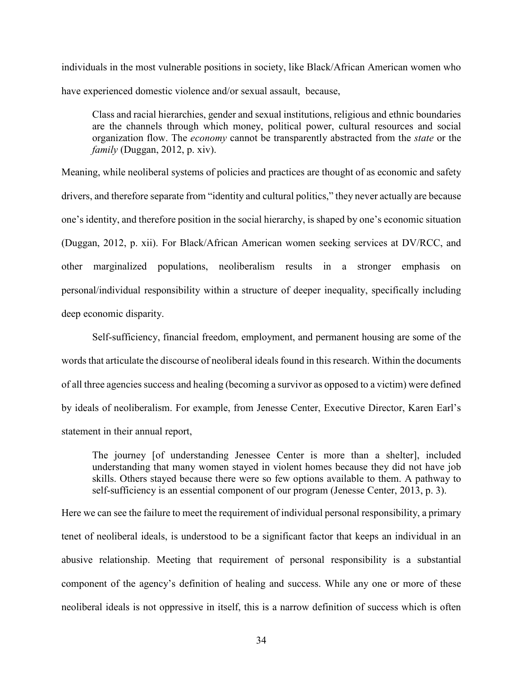individuals in the most vulnerable positions in society, like Black/African American women who have experienced domestic violence and/or sexual assault, because,

Class and racial hierarchies, gender and sexual institutions, religious and ethnic boundaries are the channels through which money, political power, cultural resources and social organization flow. The *economy* cannot be transparently abstracted from the *state* or the *family* (Duggan, 2012, p. xiv).

Meaning, while neoliberal systems of policies and practices are thought of as economic and safety drivers, and therefore separate from "identity and cultural politics," they never actually are because one's identity, and therefore position in the social hierarchy, is shaped by one's economic situation (Duggan, 2012, p. xii). For Black/African American women seeking services at DV/RCC, and other marginalized populations, neoliberalism results in a stronger emphasis on personal/individual responsibility within a structure of deeper inequality, specifically including deep economic disparity.

 Self-sufficiency, financial freedom, employment, and permanent housing are some of the words that articulate the discourse of neoliberal ideals found in this research. Within the documents of all three agencies success and healing (becoming a survivor as opposed to a victim) were defined by ideals of neoliberalism. For example, from Jenesse Center, Executive Director, Karen Earl's statement in their annual report,

The journey [of understanding Jenessee Center is more than a shelter], included understanding that many women stayed in violent homes because they did not have job skills. Others stayed because there were so few options available to them. A pathway to self-sufficiency is an essential component of our program (Jenesse Center, 2013, p. 3).

Here we can see the failure to meet the requirement of individual personal responsibility, a primary tenet of neoliberal ideals, is understood to be a significant factor that keeps an individual in an abusive relationship. Meeting that requirement of personal responsibility is a substantial component of the agency's definition of healing and success. While any one or more of these neoliberal ideals is not oppressive in itself, this is a narrow definition of success which is often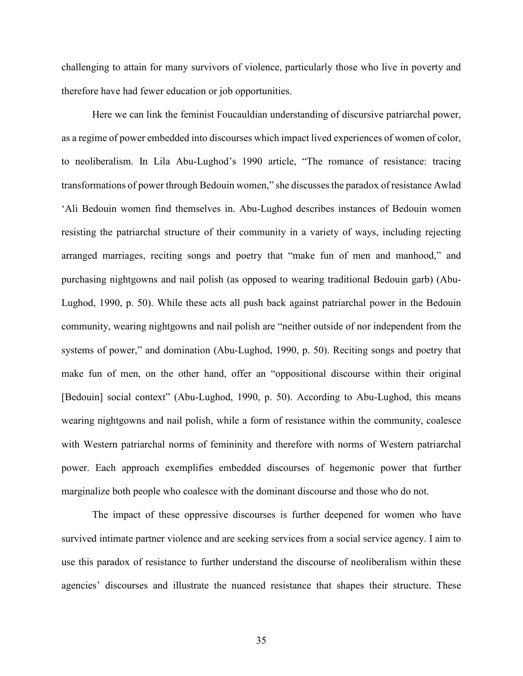challenging to attain for many survivors of violence, particularly those who live in poverty and therefore have had fewer education or job opportunities.

 Here we can link the feminist Foucauldian understanding of discursive patriarchal power, as a regime of power embedded into discourses which impact lived experiences of women of color, to neoliberalism. In Lila Abu-Lughod's 1990 article, "The romance of resistance: tracing transformations of power through Bedouin women," she discusses the paradox of resistance Awlad 'Ali Bedouin women find themselves in. Abu-Lughod describes instances of Bedouin women resisting the patriarchal structure of their community in a variety of ways, including rejecting arranged marriages, reciting songs and poetry that "make fun of men and manhood," and purchasing nightgowns and nail polish (as opposed to wearing traditional Bedouin garb) (Abu-Lughod, 1990, p. 50). While these acts all push back against patriarchal power in the Bedouin community, wearing nightgowns and nail polish are "neither outside of nor independent from the systems of power," and domination (Abu-Lughod, 1990, p. 50). Reciting songs and poetry that make fun of men, on the other hand, offer an "oppositional discourse within their original [Bedouin] social context" (Abu-Lughod, 1990, p. 50). According to Abu-Lughod, this means wearing nightgowns and nail polish, while a form of resistance within the community, coalesce with Western patriarchal norms of femininity and therefore with norms of Western patriarchal power. Each approach exemplifies embedded discourses of hegemonic power that further marginalize both people who coalesce with the dominant discourse and those who do not.

The impact of these oppressive discourses is further deepened for women who have survived intimate partner violence and are seeking services from a social service agency. I aim to use this paradox of resistance to further understand the discourse of neoliberalism within these agencies' discourses and illustrate the nuanced resistance that shapes their structure. These

35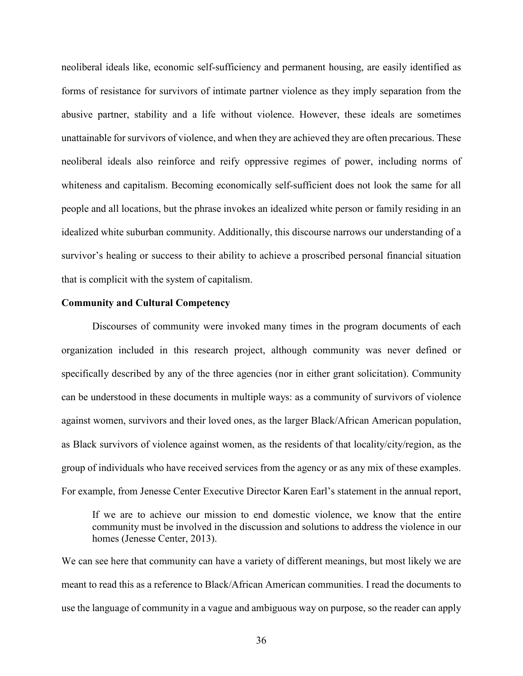neoliberal ideals like, economic self-sufficiency and permanent housing, are easily identified as forms of resistance for survivors of intimate partner violence as they imply separation from the abusive partner, stability and a life without violence. However, these ideals are sometimes unattainable for survivors of violence, and when they are achieved they are often precarious. These neoliberal ideals also reinforce and reify oppressive regimes of power, including norms of whiteness and capitalism. Becoming economically self-sufficient does not look the same for all people and all locations, but the phrase invokes an idealized white person or family residing in an idealized white suburban community. Additionally, this discourse narrows our understanding of a survivor's healing or success to their ability to achieve a proscribed personal financial situation that is complicit with the system of capitalism.

#### **Community and Cultural Competency**

 Discourses of community were invoked many times in the program documents of each organization included in this research project, although community was never defined or specifically described by any of the three agencies (nor in either grant solicitation). Community can be understood in these documents in multiple ways: as a community of survivors of violence against women, survivors and their loved ones, as the larger Black/African American population, as Black survivors of violence against women, as the residents of that locality/city/region, as the group of individuals who have received services from the agency or as any mix of these examples. For example, from Jenesse Center Executive Director Karen Earl's statement in the annual report,

If we are to achieve our mission to end domestic violence, we know that the entire community must be involved in the discussion and solutions to address the violence in our homes (Jenesse Center, 2013).

We can see here that community can have a variety of different meanings, but most likely we are meant to read this as a reference to Black/African American communities. I read the documents to use the language of community in a vague and ambiguous way on purpose, so the reader can apply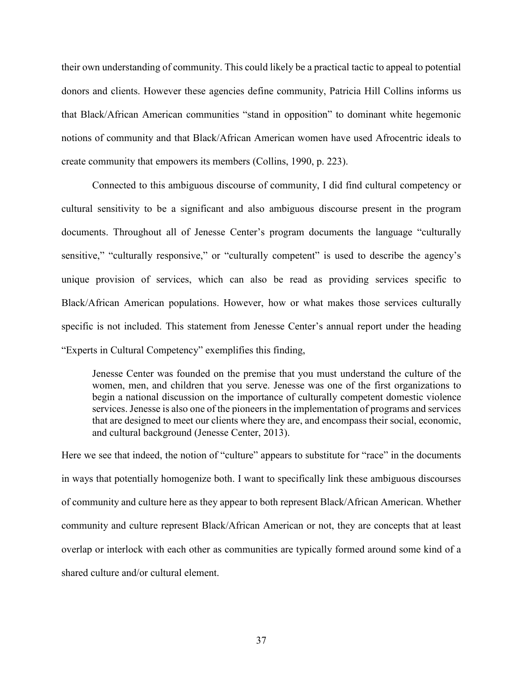their own understanding of community. This could likely be a practical tactic to appeal to potential donors and clients. However these agencies define community, Patricia Hill Collins informs us that Black/African American communities "stand in opposition" to dominant white hegemonic notions of community and that Black/African American women have used Afrocentric ideals to create community that empowers its members (Collins, 1990, p. 223).

 Connected to this ambiguous discourse of community, I did find cultural competency or cultural sensitivity to be a significant and also ambiguous discourse present in the program documents. Throughout all of Jenesse Center's program documents the language "culturally sensitive," "culturally responsive," or "culturally competent" is used to describe the agency's unique provision of services, which can also be read as providing services specific to Black/African American populations. However, how or what makes those services culturally specific is not included. This statement from Jenesse Center's annual report under the heading "Experts in Cultural Competency" exemplifies this finding,

Jenesse Center was founded on the premise that you must understand the culture of the women, men, and children that you serve. Jenesse was one of the first organizations to begin a national discussion on the importance of culturally competent domestic violence services. Jenesse is also one of the pioneers in the implementation of programs and services that are designed to meet our clients where they are, and encompass their social, economic, and cultural background (Jenesse Center, 2013).

Here we see that indeed, the notion of "culture" appears to substitute for "race" in the documents in ways that potentially homogenize both. I want to specifically link these ambiguous discourses of community and culture here as they appear to both represent Black/African American. Whether community and culture represent Black/African American or not, they are concepts that at least overlap or interlock with each other as communities are typically formed around some kind of a shared culture and/or cultural element.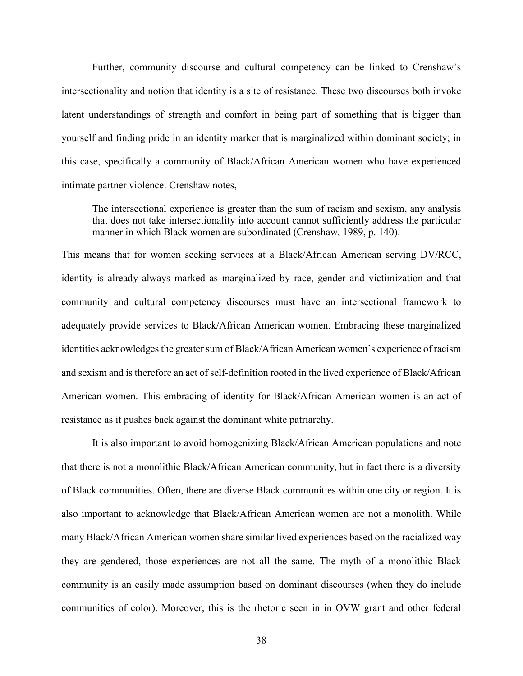Further, community discourse and cultural competency can be linked to Crenshaw's intersectionality and notion that identity is a site of resistance. These two discourses both invoke latent understandings of strength and comfort in being part of something that is bigger than yourself and finding pride in an identity marker that is marginalized within dominant society; in this case, specifically a community of Black/African American women who have experienced intimate partner violence. Crenshaw notes,

The intersectional experience is greater than the sum of racism and sexism, any analysis that does not take intersectionality into account cannot sufficiently address the particular manner in which Black women are subordinated (Crenshaw, 1989, p. 140).

This means that for women seeking services at a Black/African American serving DV/RCC, identity is already always marked as marginalized by race, gender and victimization and that community and cultural competency discourses must have an intersectional framework to adequately provide services to Black/African American women. Embracing these marginalized identities acknowledges the greater sum of Black/African American women's experience of racism and sexism and is therefore an act of self-definition rooted in the lived experience of Black/African American women. This embracing of identity for Black/African American women is an act of resistance as it pushes back against the dominant white patriarchy.

 It is also important to avoid homogenizing Black/African American populations and note that there is not a monolithic Black/African American community, but in fact there is a diversity of Black communities. Often, there are diverse Black communities within one city or region. It is also important to acknowledge that Black/African American women are not a monolith. While many Black/African American women share similar lived experiences based on the racialized way they are gendered, those experiences are not all the same. The myth of a monolithic Black community is an easily made assumption based on dominant discourses (when they do include communities of color). Moreover, this is the rhetoric seen in in OVW grant and other federal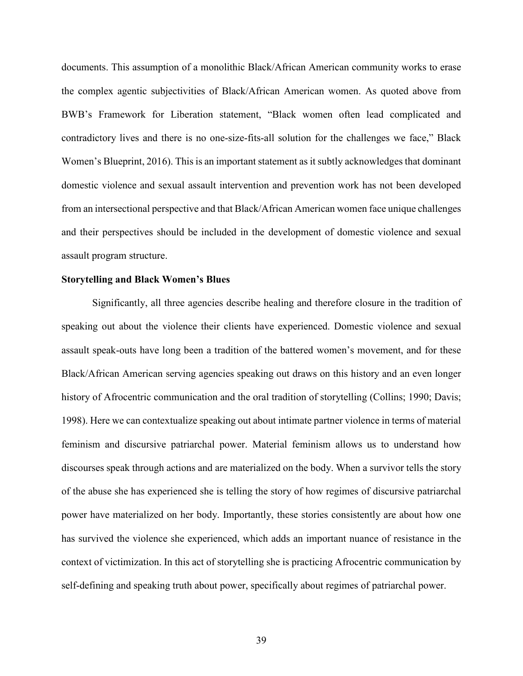documents. This assumption of a monolithic Black/African American community works to erase the complex agentic subjectivities of Black/African American women. As quoted above from BWB's Framework for Liberation statement, "Black women often lead complicated and contradictory lives and there is no one-size-fits-all solution for the challenges we face," Black Women's Blueprint, 2016). This is an important statement as it subtly acknowledges that dominant domestic violence and sexual assault intervention and prevention work has not been developed from an intersectional perspective and that Black/African American women face unique challenges and their perspectives should be included in the development of domestic violence and sexual assault program structure.

#### **Storytelling and Black Women's Blues**

Significantly, all three agencies describe healing and therefore closure in the tradition of speaking out about the violence their clients have experienced. Domestic violence and sexual assault speak-outs have long been a tradition of the battered women's movement, and for these Black/African American serving agencies speaking out draws on this history and an even longer history of Afrocentric communication and the oral tradition of storytelling (Collins; 1990; Davis; 1998). Here we can contextualize speaking out about intimate partner violence in terms of material feminism and discursive patriarchal power. Material feminism allows us to understand how discourses speak through actions and are materialized on the body. When a survivor tells the story of the abuse she has experienced she is telling the story of how regimes of discursive patriarchal power have materialized on her body. Importantly, these stories consistently are about how one has survived the violence she experienced, which adds an important nuance of resistance in the context of victimization. In this act of storytelling she is practicing Afrocentric communication by self-defining and speaking truth about power, specifically about regimes of patriarchal power.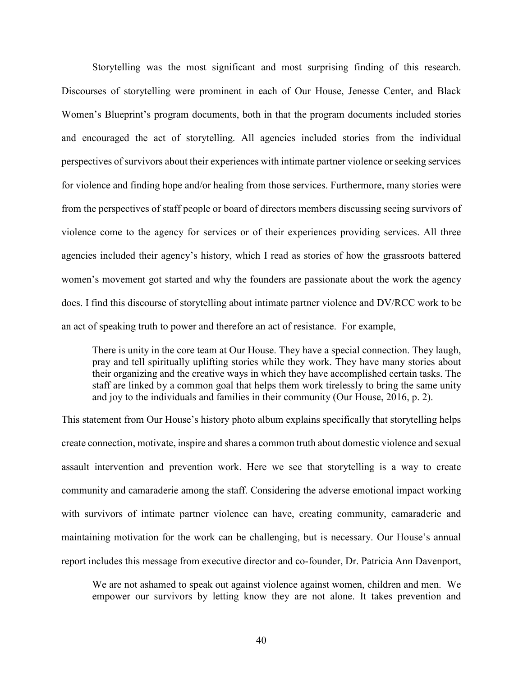Storytelling was the most significant and most surprising finding of this research. Discourses of storytelling were prominent in each of Our House, Jenesse Center, and Black Women's Blueprint's program documents, both in that the program documents included stories and encouraged the act of storytelling. All agencies included stories from the individual perspectives of survivors about their experiences with intimate partner violence or seeking services for violence and finding hope and/or healing from those services. Furthermore, many stories were from the perspectives of staff people or board of directors members discussing seeing survivors of violence come to the agency for services or of their experiences providing services. All three agencies included their agency's history, which I read as stories of how the grassroots battered women's movement got started and why the founders are passionate about the work the agency does. I find this discourse of storytelling about intimate partner violence and DV/RCC work to be an act of speaking truth to power and therefore an act of resistance. For example,

There is unity in the core team at Our House. They have a special connection. They laugh, pray and tell spiritually uplifting stories while they work. They have many stories about their organizing and the creative ways in which they have accomplished certain tasks. The staff are linked by a common goal that helps them work tirelessly to bring the same unity and joy to the individuals and families in their community (Our House, 2016, p. 2).

This statement from Our House's history photo album explains specifically that storytelling helps create connection, motivate, inspire and shares a common truth about domestic violence and sexual assault intervention and prevention work. Here we see that storytelling is a way to create community and camaraderie among the staff. Considering the adverse emotional impact working with survivors of intimate partner violence can have, creating community, camaraderie and maintaining motivation for the work can be challenging, but is necessary. Our House's annual report includes this message from executive director and co-founder, Dr. Patricia Ann Davenport,

We are not ashamed to speak out against violence against women, children and men. We empower our survivors by letting know they are not alone. It takes prevention and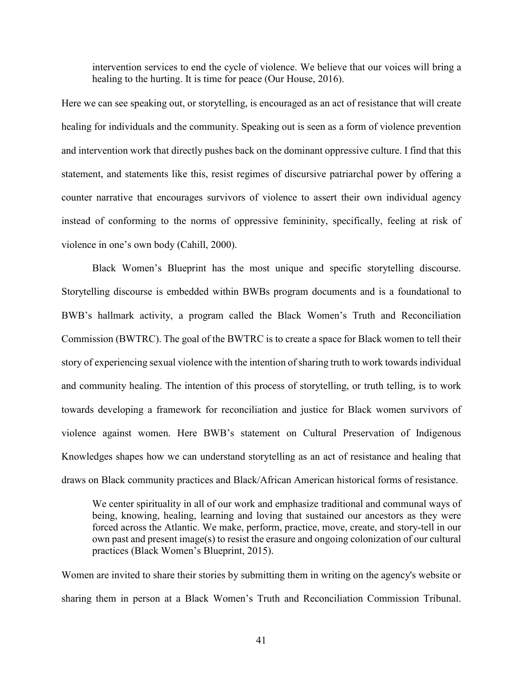intervention services to end the cycle of violence. We believe that our voices will bring a healing to the hurting. It is time for peace (Our House, 2016).

Here we can see speaking out, or storytelling, is encouraged as an act of resistance that will create healing for individuals and the community. Speaking out is seen as a form of violence prevention and intervention work that directly pushes back on the dominant oppressive culture. I find that this statement, and statements like this, resist regimes of discursive patriarchal power by offering a counter narrative that encourages survivors of violence to assert their own individual agency instead of conforming to the norms of oppressive femininity, specifically, feeling at risk of violence in one's own body (Cahill, 2000).

Black Women's Blueprint has the most unique and specific storytelling discourse. Storytelling discourse is embedded within BWBs program documents and is a foundational to BWB's hallmark activity, a program called the Black Women's Truth and Reconciliation Commission (BWTRC). The goal of the BWTRC is to create a space for Black women to tell their story of experiencing sexual violence with the intention of sharing truth to work towards individual and community healing. The intention of this process of storytelling, or truth telling, is to work towards developing a framework for reconciliation and justice for Black women survivors of violence against women. Here BWB's statement on Cultural Preservation of Indigenous Knowledges shapes how we can understand storytelling as an act of resistance and healing that draws on Black community practices and Black/African American historical forms of resistance.

We center spirituality in all of our work and emphasize traditional and communal ways of being, knowing, healing, learning and loving that sustained our ancestors as they were forced across the Atlantic. We make, perform, practice, move, create, and story-tell in our own past and present image(s) to resist the erasure and ongoing colonization of our cultural practices (Black Women's Blueprint, 2015).

Women are invited to share their stories by submitting them in writing on the agency's website or sharing them in person at a Black Women's Truth and Reconciliation Commission Tribunal.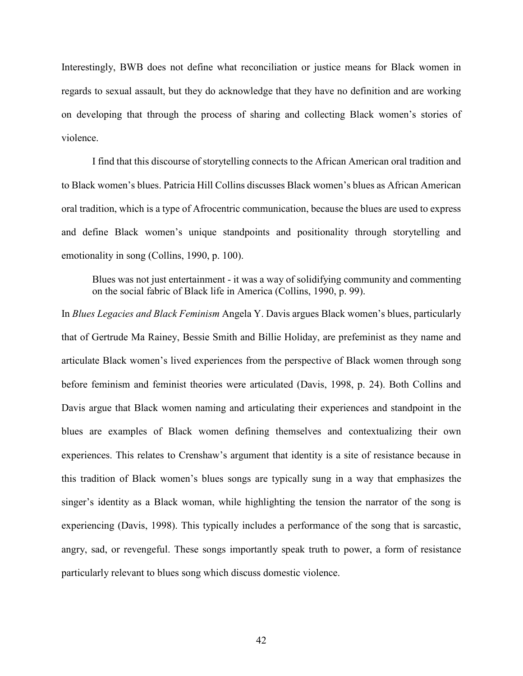Interestingly, BWB does not define what reconciliation or justice means for Black women in regards to sexual assault, but they do acknowledge that they have no definition and are working on developing that through the process of sharing and collecting Black women's stories of violence.

I find that this discourse of storytelling connects to the African American oral tradition and to Black women's blues. Patricia Hill Collins discusses Black women's blues as African American oral tradition, which is a type of Afrocentric communication, because the blues are used to express and define Black women's unique standpoints and positionality through storytelling and emotionality in song (Collins, 1990, p. 100).

Blues was not just entertainment - it was a way of solidifying community and commenting on the social fabric of Black life in America (Collins, 1990, p. 99).

In *Blues Legacies and Black Feminism* Angela Y. Davis argues Black women's blues, particularly that of Gertrude Ma Rainey, Bessie Smith and Billie Holiday, are prefeminist as they name and articulate Black women's lived experiences from the perspective of Black women through song before feminism and feminist theories were articulated (Davis, 1998, p. 24). Both Collins and Davis argue that Black women naming and articulating their experiences and standpoint in the blues are examples of Black women defining themselves and contextualizing their own experiences. This relates to Crenshaw's argument that identity is a site of resistance because in this tradition of Black women's blues songs are typically sung in a way that emphasizes the singer's identity as a Black woman, while highlighting the tension the narrator of the song is experiencing (Davis, 1998). This typically includes a performance of the song that is sarcastic, angry, sad, or revengeful. These songs importantly speak truth to power, a form of resistance particularly relevant to blues song which discuss domestic violence.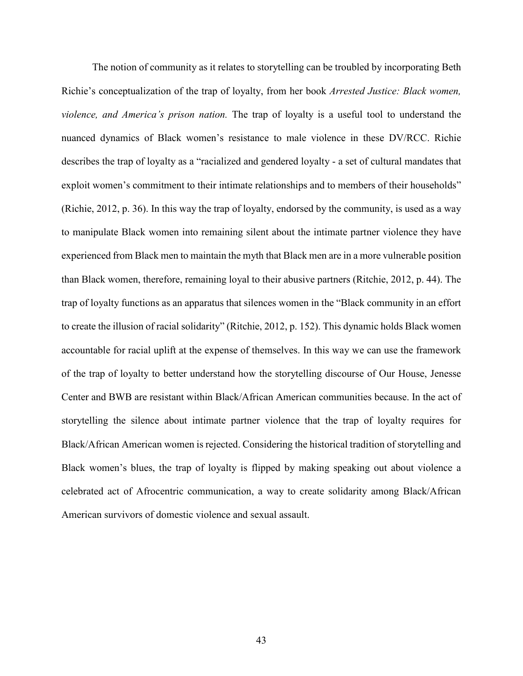The notion of community as it relates to storytelling can be troubled by incorporating Beth Richie's conceptualization of the trap of loyalty, from her book *Arrested Justice: Black women, violence, and America's prison nation.* The trap of loyalty is a useful tool to understand the nuanced dynamics of Black women's resistance to male violence in these DV/RCC. Richie describes the trap of loyalty as a "racialized and gendered loyalty - a set of cultural mandates that exploit women's commitment to their intimate relationships and to members of their households" (Richie, 2012, p. 36). In this way the trap of loyalty, endorsed by the community, is used as a way to manipulate Black women into remaining silent about the intimate partner violence they have experienced from Black men to maintain the myth that Black men are in a more vulnerable position than Black women, therefore, remaining loyal to their abusive partners (Ritchie, 2012, p. 44). The trap of loyalty functions as an apparatus that silences women in the "Black community in an effort to create the illusion of racial solidarity" (Ritchie, 2012, p. 152). This dynamic holds Black women accountable for racial uplift at the expense of themselves. In this way we can use the framework of the trap of loyalty to better understand how the storytelling discourse of Our House, Jenesse Center and BWB are resistant within Black/African American communities because. In the act of storytelling the silence about intimate partner violence that the trap of loyalty requires for Black/African American women is rejected. Considering the historical tradition of storytelling and Black women's blues, the trap of loyalty is flipped by making speaking out about violence a celebrated act of Afrocentric communication, a way to create solidarity among Black/African American survivors of domestic violence and sexual assault.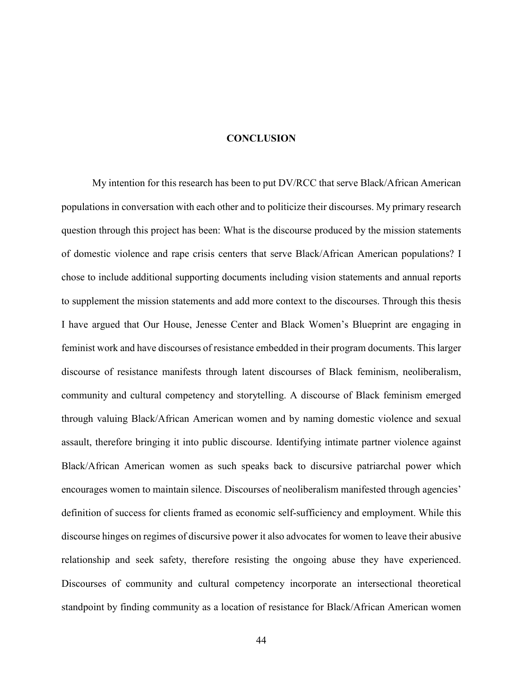#### **CONCLUSION**

 My intention for this research has been to put DV/RCC that serve Black/African American populations in conversation with each other and to politicize their discourses. My primary research question through this project has been: What is the discourse produced by the mission statements of domestic violence and rape crisis centers that serve Black/African American populations? I chose to include additional supporting documents including vision statements and annual reports to supplement the mission statements and add more context to the discourses. Through this thesis I have argued that Our House, Jenesse Center and Black Women's Blueprint are engaging in feminist work and have discourses of resistance embedded in their program documents. This larger discourse of resistance manifests through latent discourses of Black feminism, neoliberalism, community and cultural competency and storytelling. A discourse of Black feminism emerged through valuing Black/African American women and by naming domestic violence and sexual assault, therefore bringing it into public discourse. Identifying intimate partner violence against Black/African American women as such speaks back to discursive patriarchal power which encourages women to maintain silence. Discourses of neoliberalism manifested through agencies' definition of success for clients framed as economic self-sufficiency and employment. While this discourse hinges on regimes of discursive power it also advocates for women to leave their abusive relationship and seek safety, therefore resisting the ongoing abuse they have experienced. Discourses of community and cultural competency incorporate an intersectional theoretical standpoint by finding community as a location of resistance for Black/African American women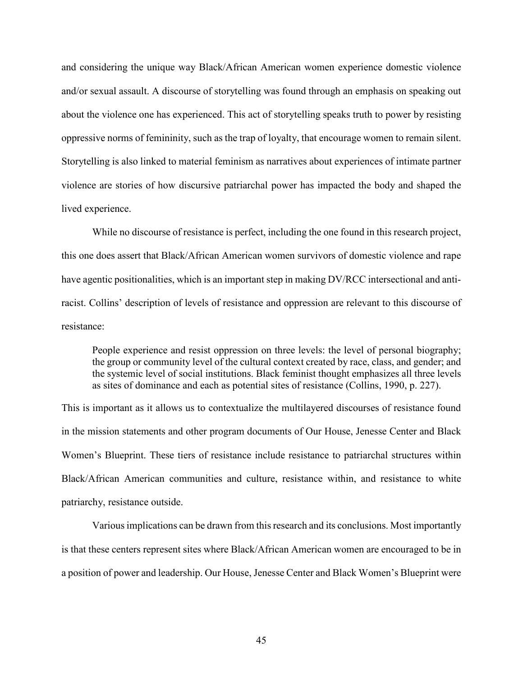and considering the unique way Black/African American women experience domestic violence and/or sexual assault. A discourse of storytelling was found through an emphasis on speaking out about the violence one has experienced. This act of storytelling speaks truth to power by resisting oppressive norms of femininity, such as the trap of loyalty, that encourage women to remain silent. Storytelling is also linked to material feminism as narratives about experiences of intimate partner violence are stories of how discursive patriarchal power has impacted the body and shaped the lived experience.

While no discourse of resistance is perfect, including the one found in this research project, this one does assert that Black/African American women survivors of domestic violence and rape have agentic positionalities, which is an important step in making DV/RCC intersectional and antiracist. Collins' description of levels of resistance and oppression are relevant to this discourse of resistance:

People experience and resist oppression on three levels: the level of personal biography; the group or community level of the cultural context created by race, class, and gender; and the systemic level of social institutions. Black feminist thought emphasizes all three levels as sites of dominance and each as potential sites of resistance (Collins, 1990, p. 227).

This is important as it allows us to contextualize the multilayered discourses of resistance found in the mission statements and other program documents of Our House, Jenesse Center and Black Women's Blueprint. These tiers of resistance include resistance to patriarchal structures within Black/African American communities and culture, resistance within, and resistance to white patriarchy, resistance outside.

 Various implications can be drawn from this research and its conclusions. Most importantly is that these centers represent sites where Black/African American women are encouraged to be in a position of power and leadership. Our House, Jenesse Center and Black Women's Blueprint were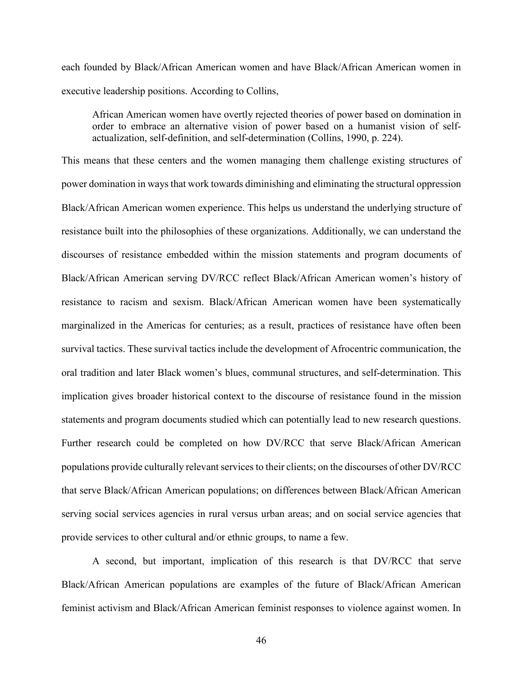each founded by Black/African American women and have Black/African American women in executive leadership positions. According to Collins,

African American women have overtly rejected theories of power based on domination in order to embrace an alternative vision of power based on a humanist vision of selfactualization, self-definition, and self-determination (Collins, 1990, p. 224).

This means that these centers and the women managing them challenge existing structures of power domination in ways that work towards diminishing and eliminating the structural oppression Black/African American women experience. This helps us understand the underlying structure of resistance built into the philosophies of these organizations. Additionally, we can understand the discourses of resistance embedded within the mission statements and program documents of Black/African American serving DV/RCC reflect Black/African American women's history of resistance to racism and sexism. Black/African American women have been systematically marginalized in the Americas for centuries; as a result, practices of resistance have often been survival tactics. These survival tactics include the development of Afrocentric communication, the oral tradition and later Black women's blues, communal structures, and self-determination. This implication gives broader historical context to the discourse of resistance found in the mission statements and program documents studied which can potentially lead to new research questions. Further research could be completed on how DV/RCC that serve Black/African American populations provide culturally relevant services to their clients; on the discourses of other DV/RCC that serve Black/African American populations; on differences between Black/African American serving social services agencies in rural versus urban areas; and on social service agencies that provide services to other cultural and/or ethnic groups, to name a few.

A second, but important, implication of this research is that DV/RCC that serve Black/African American populations are examples of the future of Black/African American feminist activism and Black/African American feminist responses to violence against women. In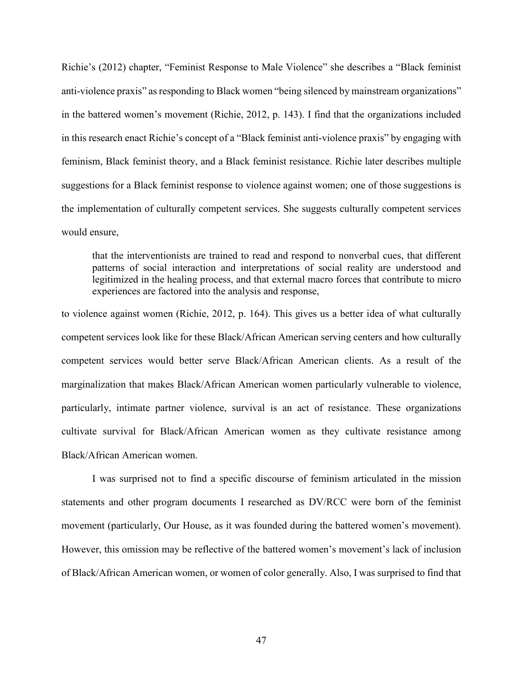Richie's (2012) chapter, "Feminist Response to Male Violence" she describes a "Black feminist anti-violence praxis" as responding to Black women "being silenced by mainstream organizations" in the battered women's movement (Richie, 2012, p. 143). I find that the organizations included in this research enact Richie's concept of a "Black feminist anti-violence praxis" by engaging with feminism, Black feminist theory, and a Black feminist resistance. Richie later describes multiple suggestions for a Black feminist response to violence against women; one of those suggestions is the implementation of culturally competent services. She suggests culturally competent services would ensure,

that the interventionists are trained to read and respond to nonverbal cues, that different patterns of social interaction and interpretations of social reality are understood and legitimized in the healing process, and that external macro forces that contribute to micro experiences are factored into the analysis and response,

to violence against women (Richie, 2012, p. 164). This gives us a better idea of what culturally competent services look like for these Black/African American serving centers and how culturally competent services would better serve Black/African American clients. As a result of the marginalization that makes Black/African American women particularly vulnerable to violence, particularly, intimate partner violence, survival is an act of resistance. These organizations cultivate survival for Black/African American women as they cultivate resistance among Black/African American women.

I was surprised not to find a specific discourse of feminism articulated in the mission statements and other program documents I researched as DV/RCC were born of the feminist movement (particularly, Our House, as it was founded during the battered women's movement). However, this omission may be reflective of the battered women's movement's lack of inclusion of Black/African American women, or women of color generally. Also, I was surprised to find that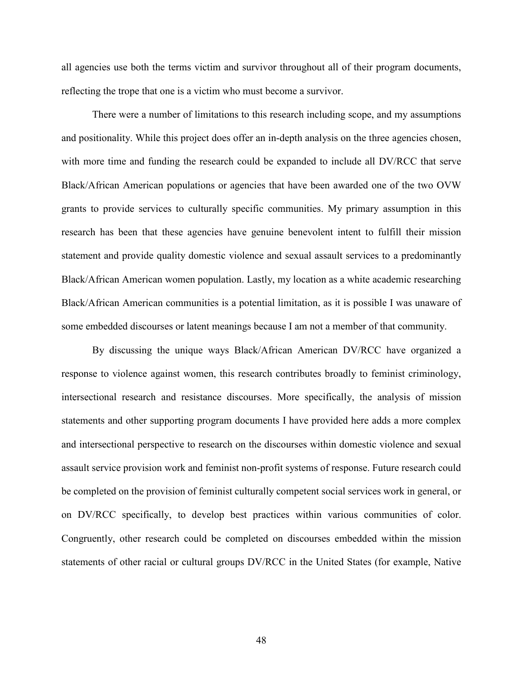all agencies use both the terms victim and survivor throughout all of their program documents, reflecting the trope that one is a victim who must become a survivor.

There were a number of limitations to this research including scope, and my assumptions and positionality. While this project does offer an in-depth analysis on the three agencies chosen, with more time and funding the research could be expanded to include all DV/RCC that serve Black/African American populations or agencies that have been awarded one of the two OVW grants to provide services to culturally specific communities. My primary assumption in this research has been that these agencies have genuine benevolent intent to fulfill their mission statement and provide quality domestic violence and sexual assault services to a predominantly Black/African American women population. Lastly, my location as a white academic researching Black/African American communities is a potential limitation, as it is possible I was unaware of some embedded discourses or latent meanings because I am not a member of that community.

By discussing the unique ways Black/African American DV/RCC have organized a response to violence against women, this research contributes broadly to feminist criminology, intersectional research and resistance discourses. More specifically, the analysis of mission statements and other supporting program documents I have provided here adds a more complex and intersectional perspective to research on the discourses within domestic violence and sexual assault service provision work and feminist non-profit systems of response. Future research could be completed on the provision of feminist culturally competent social services work in general, or on DV/RCC specifically, to develop best practices within various communities of color. Congruently, other research could be completed on discourses embedded within the mission statements of other racial or cultural groups DV/RCC in the United States (for example, Native

48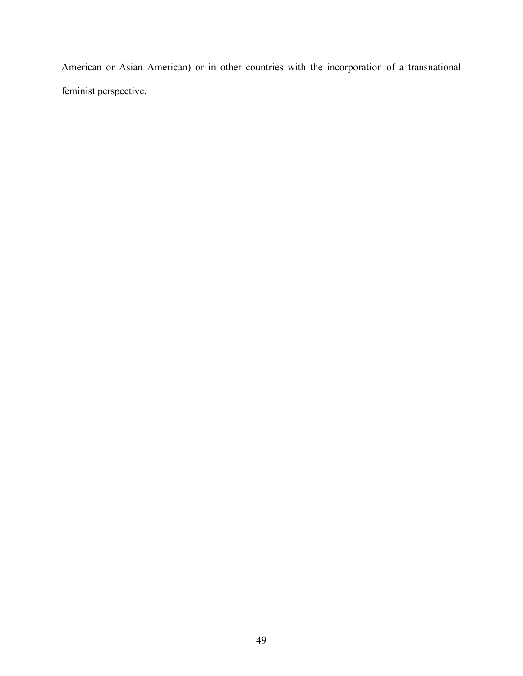American or Asian American) or in other countries with the incorporation of a transnational feminist perspective.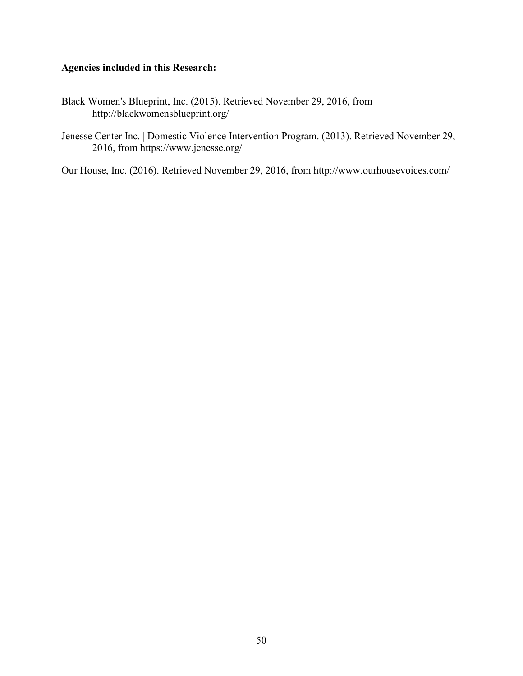# **Agencies included in this Research:**

- Black Women's Blueprint, Inc. (2015). Retrieved November 29, 2016, from http://blackwomensblueprint.org/
- Jenesse Center Inc. | Domestic Violence Intervention Program. (2013). Retrieved November 29, 2016, from https://www.jenesse.org/

Our House, Inc. (2016). Retrieved November 29, 2016, from http://www.ourhousevoices.com/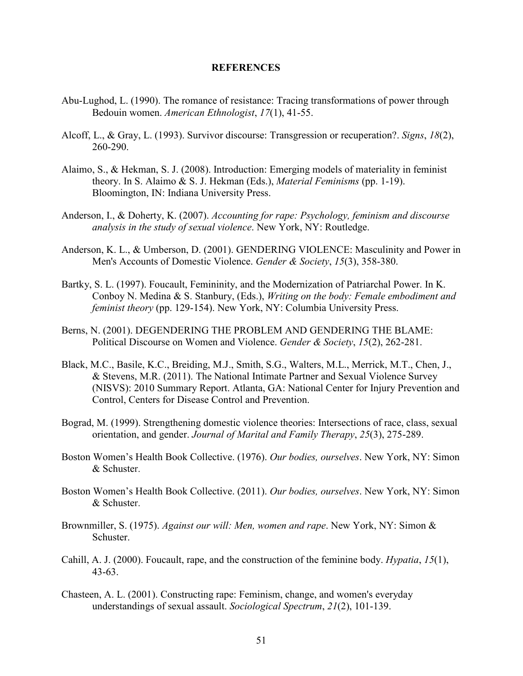#### **REFERENCES**

- Abu-Lughod, L. (1990). The romance of resistance: Tracing transformations of power through Bedouin women. *American Ethnologist*, *17*(1), 41-55.
- Alcoff, L., & Gray, L. (1993). Survivor discourse: Transgression or recuperation?. *Signs*, *18*(2), 260-290.
- Alaimo, S., & Hekman, S. J. (2008). Introduction: Emerging models of materiality in feminist theory. In S. Alaimo & S. J. Hekman (Eds.), *Material Feminisms* (pp. 1-19). Bloomington, IN: Indiana University Press.
- Anderson, I., & Doherty, K. (2007). *Accounting for rape: Psychology, feminism and discourse analysis in the study of sexual violence*. New York, NY: Routledge.
- Anderson, K. L., & Umberson, D. (2001). GENDERING VIOLENCE: Masculinity and Power in Men's Accounts of Domestic Violence. *Gender & Society*, *15*(3), 358-380.
- Bartky, S. L. (1997). Foucault, Femininity, and the Modernization of Patriarchal Power. In K. Conboy N. Medina & S. Stanbury, (Eds.), *Writing on the body: Female embodiment and feminist theory* (pp. 129-154). New York, NY: Columbia University Press.
- Berns, N. (2001). DEGENDERING THE PROBLEM AND GENDERING THE BLAME: Political Discourse on Women and Violence. *Gender & Society*, *15*(2), 262-281.
- Black, M.C., Basile, K.C., Breiding, M.J., Smith, S.G., Walters, M.L., Merrick, M.T., Chen, J., & Stevens, M.R. (2011). The National Intimate Partner and Sexual Violence Survey (NISVS): 2010 Summary Report. Atlanta, GA: National Center for Injury Prevention and Control, Centers for Disease Control and Prevention.
- Bograd, M. (1999). Strengthening domestic violence theories: Intersections of race, class, sexual orientation, and gender. *Journal of Marital and Family Therapy*, *25*(3), 275-289.
- Boston Women's Health Book Collective. (1976). *Our bodies, ourselves*. New York, NY: Simon & Schuster.
- Boston Women's Health Book Collective. (2011). *Our bodies, ourselves*. New York, NY: Simon & Schuster.
- Brownmiller, S. (1975). *Against our will: Men, women and rape*. New York, NY: Simon & **Schuster**
- Cahill, A. J. (2000). Foucault, rape, and the construction of the feminine body. *Hypatia*, *15*(1), 43-63.
- Chasteen, A. L. (2001). Constructing rape: Feminism, change, and women's everyday understandings of sexual assault. *Sociological Spectrum*, *21*(2), 101-139.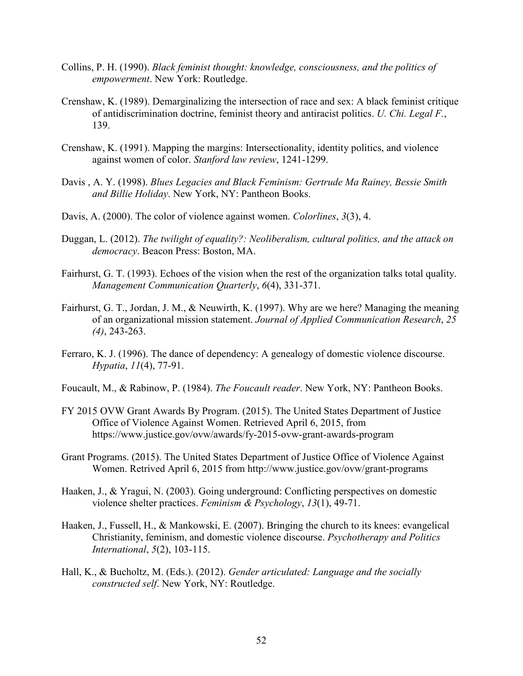- Collins, P. H. (1990). *Black feminist thought: knowledge, consciousness, and the politics of empowerment*. New York: Routledge.
- Crenshaw, K. (1989). Demarginalizing the intersection of race and sex: A black feminist critique of antidiscrimination doctrine, feminist theory and antiracist politics. *U. Chi. Legal F.*, 139.
- Crenshaw, K. (1991). Mapping the margins: Intersectionality, identity politics, and violence against women of color. *Stanford law review*, 1241-1299.
- Davis , A. Y. (1998). *Blues Legacies and Black Feminism: Gertrude Ma Rainey, Bessie Smith and Billie Holiday*. New York, NY: Pantheon Books.
- Davis, A. (2000). The color of violence against women. *Colorlines*, *3*(3), 4.
- Duggan, L. (2012). *The twilight of equality?: Neoliberalism, cultural politics, and the attack on democracy*. Beacon Press: Boston, MA.
- Fairhurst, G. T. (1993). Echoes of the vision when the rest of the organization talks total quality. *Management Communication Quarterly*, *6*(4), 331-371.
- Fairhurst, G. T., Jordan, J. M., & Neuwirth, K. (1997). Why are we here? Managing the meaning of an organizational mission statement. *Journal of Applied Communication Research*, *25 (4)*, 243-263.
- Ferraro, K. J. (1996). The dance of dependency: A genealogy of domestic violence discourse. *Hypatia*, *11*(4), 77-91.
- Foucault, M., & Rabinow, P. (1984). *The Foucault reader*. New York, NY: Pantheon Books.
- FY 2015 OVW Grant Awards By Program. (2015). The United States Department of Justice Office of Violence Against Women. Retrieved April 6, 2015, from https://www.justice.gov/ovw/awards/fy-2015-ovw-grant-awards-program
- Grant Programs. (2015). The United States Department of Justice Office of Violence Against Women. Retrived April 6, 2015 from http://www.justice.gov/ovw/grant-programs
- Haaken, J., & Yragui, N. (2003). Going underground: Conflicting perspectives on domestic violence shelter practices. *Feminism & Psychology*, *13*(1), 49-71.
- Haaken, J., Fussell, H., & Mankowski, E. (2007). Bringing the church to its knees: evangelical Christianity, feminism, and domestic violence discourse. *Psychotherapy and Politics International*, *5*(2), 103-115.
- Hall, K., & Bucholtz, M. (Eds.). (2012). *Gender articulated: Language and the socially constructed self*. New York, NY: Routledge.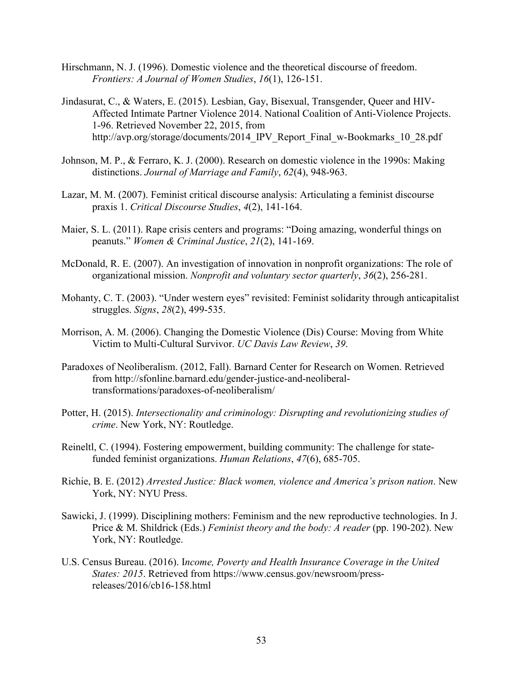- Hirschmann, N. J. (1996). Domestic violence and the theoretical discourse of freedom. *Frontiers: A Journal of Women Studies*, *16*(1), 126-151.
- Jindasurat, C., & Waters, E. (2015). Lesbian, Gay, Bisexual, Transgender, Queer and HIV-Affected Intimate Partner Violence 2014. National Coalition of Anti-Violence Projects. 1-96. Retrieved November 22, 2015, from http://avp.org/storage/documents/2014 IPV Report Final w-Bookmarks 10 28.pdf
- Johnson, M. P., & Ferraro, K. J. (2000). Research on domestic violence in the 1990s: Making distinctions. *Journal of Marriage and Family*, *62*(4), 948-963.
- Lazar, M. M. (2007). Feminist critical discourse analysis: Articulating a feminist discourse praxis 1. *Critical Discourse Studies*, *4*(2), 141-164.
- Maier, S. L. (2011). Rape crisis centers and programs: "Doing amazing, wonderful things on peanuts." *Women & Criminal Justice*, *21*(2), 141-169.
- McDonald, R. E. (2007). An investigation of innovation in nonprofit organizations: The role of organizational mission. *Nonprofit and voluntary sector quarterly*, *36*(2), 256-281.
- Mohanty, C. T. (2003). "Under western eyes" revisited: Feminist solidarity through anticapitalist struggles. *Signs*, *28*(2), 499-535.
- Morrison, A. M. (2006). Changing the Domestic Violence (Dis) Course: Moving from White Victim to Multi-Cultural Survivor. *UC Davis Law Review*, *39*.
- Paradoxes of Neoliberalism. (2012, Fall). Barnard Center for Research on Women. Retrieved from http://sfonline.barnard.edu/gender-justice-and-neoliberaltransformations/paradoxes-of-neoliberalism/
- Potter, H. (2015). *Intersectionality and criminology: Disrupting and revolutionizing studies of crime*. New York, NY: Routledge.
- Reineltl, C. (1994). Fostering empowerment, building community: The challenge for statefunded feminist organizations. *Human Relations*, *47*(6), 685-705.
- Richie, B. E. (2012) *Arrested Justice: Black women, violence and America's prison nation*. New York, NY: NYU Press.
- Sawicki, J. (1999). Disciplining mothers: Feminism and the new reproductive technologies. In J. Price & M. Shildrick (Eds.) *Feminist theory and the body: A reader* (pp. 190-202). New York, NY: Routledge.
- U.S. Census Bureau. (2016). I*ncome, Poverty and Health Insurance Coverage in the United States: 2015*. Retrieved from https://www.census.gov/newsroom/pressreleases/2016/cb16-158.html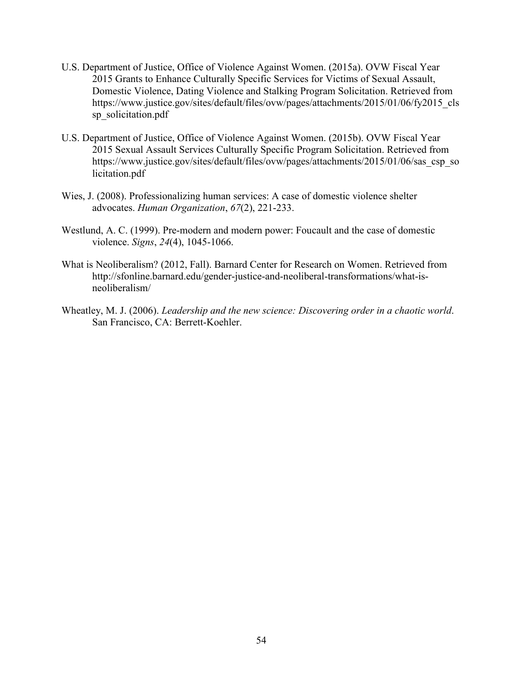- U.S. Department of Justice, Office of Violence Against Women. (2015a). OVW Fiscal Year 2015 Grants to Enhance Culturally Specific Services for Victims of Sexual Assault, Domestic Violence, Dating Violence and Stalking Program Solicitation. Retrieved from https://www.justice.gov/sites/default/files/ovw/pages/attachments/2015/01/06/fy2015\_cls sp\_solicitation.pdf
- U.S. Department of Justice, Office of Violence Against Women. (2015b). OVW Fiscal Year 2015 Sexual Assault Services Culturally Specific Program Solicitation. Retrieved from https://www.justice.gov/sites/default/files/ovw/pages/attachments/2015/01/06/sas\_csp\_so licitation.pdf
- Wies, J. (2008). Professionalizing human services: A case of domestic violence shelter advocates. *Human Organization*, *67*(2), 221-233.
- Westlund, A. C. (1999). Pre-modern and modern power: Foucault and the case of domestic violence. *Signs*, *24*(4), 1045-1066.
- What is Neoliberalism? (2012, Fall). Barnard Center for Research on Women. Retrieved from http://sfonline.barnard.edu/gender-justice-and-neoliberal-transformations/what-isneoliberalism/
- Wheatley, M. J. (2006). *Leadership and the new science: Discovering order in a chaotic world*. San Francisco, CA: Berrett-Koehler.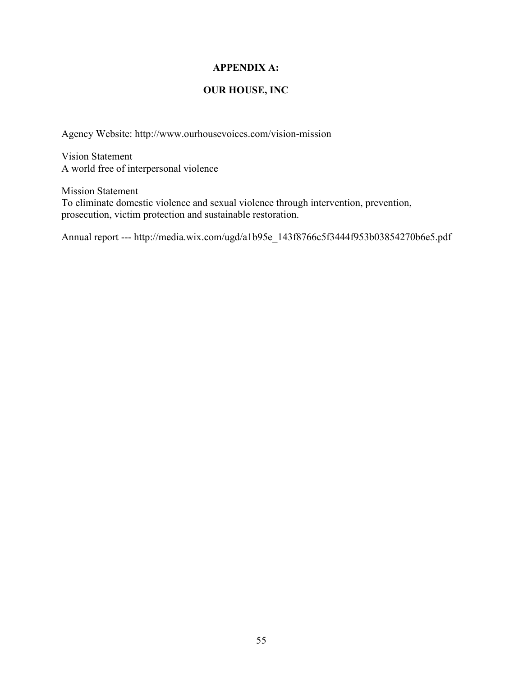# **APPENDIX A:**

# **OUR HOUSE, INC**

Agency Website: http://www.ourhousevoices.com/vision-mission

Vision Statement A world free of interpersonal violence

Mission Statement To eliminate domestic violence and sexual violence through intervention, prevention, prosecution, victim protection and sustainable restoration.

Annual report --- http://media.wix.com/ugd/a1b95e\_143f8766c5f3444f953b03854270b6e5.pdf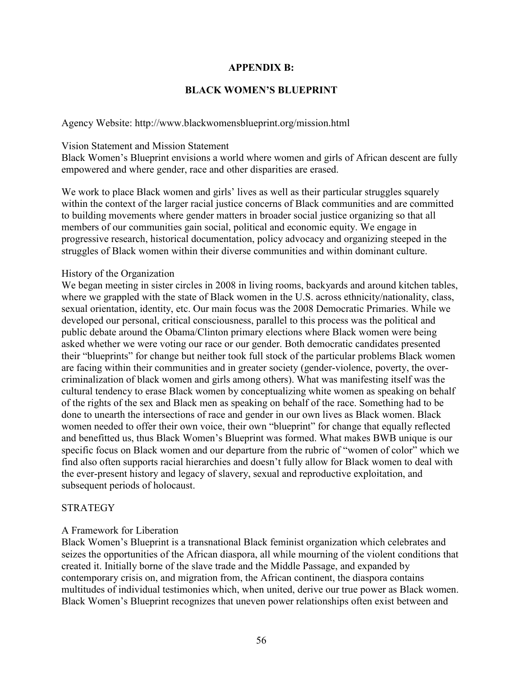# **APPENDIX B:**

# **BLACK WOMEN'S BLUEPRINT**

Agency Website: http://www.blackwomensblueprint.org/mission.html

#### Vision Statement and Mission Statement

Black Women's Blueprint envisions a world where women and girls of African descent are fully empowered and where gender, race and other disparities are erased.

We work to place Black women and girls' lives as well as their particular struggles squarely within the context of the larger racial justice concerns of Black communities and are committed to building movements where gender matters in broader social justice organizing so that all members of our communities gain social, political and economic equity. We engage in progressive research, historical documentation, policy advocacy and organizing steeped in the struggles of Black women within their diverse communities and within dominant culture.

# History of the Organization

We began meeting in sister circles in 2008 in living rooms, backyards and around kitchen tables, where we grappled with the state of Black women in the U.S. across ethnicity/nationality, class, sexual orientation, identity, etc. Our main focus was the 2008 Democratic Primaries. While we developed our personal, critical consciousness, parallel to this process was the political and public debate around the Obama/Clinton primary elections where Black women were being asked whether we were voting our race or our gender. Both democratic candidates presented their "blueprints" for change but neither took full stock of the particular problems Black women are facing within their communities and in greater society (gender-violence, poverty, the overcriminalization of black women and girls among others). What was manifesting itself was the cultural tendency to erase Black women by conceptualizing white women as speaking on behalf of the rights of the sex and Black men as speaking on behalf of the race. Something had to be done to unearth the intersections of race and gender in our own lives as Black women. Black women needed to offer their own voice, their own "blueprint" for change that equally reflected and benefitted us, thus Black Women's Blueprint was formed. What makes BWB unique is our specific focus on Black women and our departure from the rubric of "women of color" which we find also often supports racial hierarchies and doesn't fully allow for Black women to deal with the ever-present history and legacy of slavery, sexual and reproductive exploitation, and subsequent periods of holocaust.

# **STRATEGY**

# A Framework for Liberation

Black Women's Blueprint is a transnational Black feminist organization which celebrates and seizes the opportunities of the African diaspora, all while mourning of the violent conditions that created it. Initially borne of the slave trade and the Middle Passage, and expanded by contemporary crisis on, and migration from, the African continent, the diaspora contains multitudes of individual testimonies which, when united, derive our true power as Black women. Black Women's Blueprint recognizes that uneven power relationships often exist between and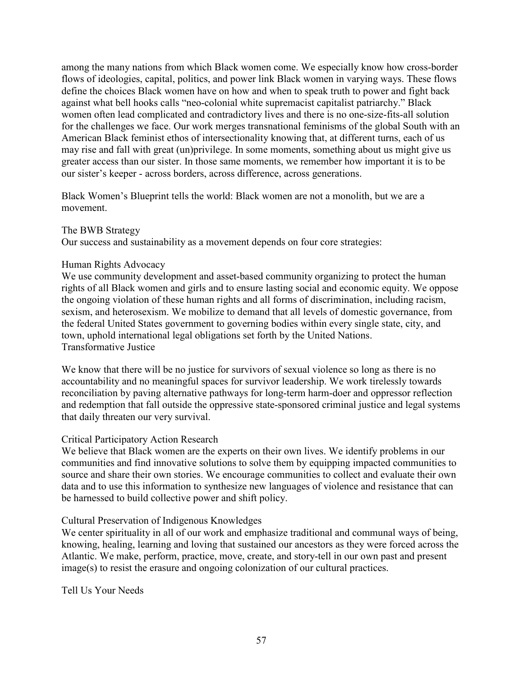among the many nations from which Black women come. We especially know how cross-border flows of ideologies, capital, politics, and power link Black women in varying ways. These flows define the choices Black women have on how and when to speak truth to power and fight back against what bell hooks calls "neo-colonial white supremacist capitalist patriarchy." Black women often lead complicated and contradictory lives and there is no one-size-fits-all solution for the challenges we face. Our work merges transnational feminisms of the global South with an American Black feminist ethos of intersectionality knowing that, at different turns, each of us may rise and fall with great (un)privilege. In some moments, something about us might give us greater access than our sister. In those same moments, we remember how important it is to be our sister's keeper - across borders, across difference, across generations.

Black Women's Blueprint tells the world: Black women are not a monolith, but we are a movement.

# The BWB Strategy

Our success and sustainability as a movement depends on four core strategies:

# Human Rights Advocacy

We use community development and asset-based community organizing to protect the human rights of all Black women and girls and to ensure lasting social and economic equity. We oppose the ongoing violation of these human rights and all forms of discrimination, including racism, sexism, and heterosexism. We mobilize to demand that all levels of domestic governance, from the federal United States government to governing bodies within every single state, city, and town, uphold international legal obligations set forth by the United Nations. Transformative Justice

We know that there will be no justice for survivors of sexual violence so long as there is no accountability and no meaningful spaces for survivor leadership. We work tirelessly towards reconciliation by paving alternative pathways for long-term harm-doer and oppressor reflection and redemption that fall outside the oppressive state-sponsored criminal justice and legal systems that daily threaten our very survival.

# Critical Participatory Action Research

We believe that Black women are the experts on their own lives. We identify problems in our communities and find innovative solutions to solve them by equipping impacted communities to source and share their own stories. We encourage communities to collect and evaluate their own data and to use this information to synthesize new languages of violence and resistance that can be harnessed to build collective power and shift policy.

# Cultural Preservation of Indigenous Knowledges

We center spirituality in all of our work and emphasize traditional and communal ways of being, knowing, healing, learning and loving that sustained our ancestors as they were forced across the Atlantic. We make, perform, practice, move, create, and story-tell in our own past and present image(s) to resist the erasure and ongoing colonization of our cultural practices.

Tell Us Your Needs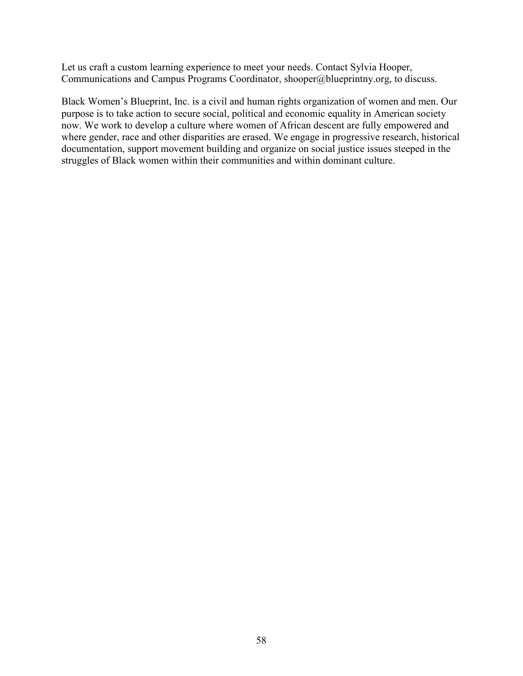Let us craft a custom learning experience to meet your needs. Contact Sylvia Hooper, Communications and Campus Programs Coordinator, shooper@blueprintny.org, to discuss.

Black Women's Blueprint, Inc. is a civil and human rights organization of women and men. Our purpose is to take action to secure social, political and economic equality in American society now. We work to develop a culture where women of African descent are fully empowered and where gender, race and other disparities are erased. We engage in progressive research, historical documentation, support movement building and organize on social justice issues steeped in the struggles of Black women within their communities and within dominant culture.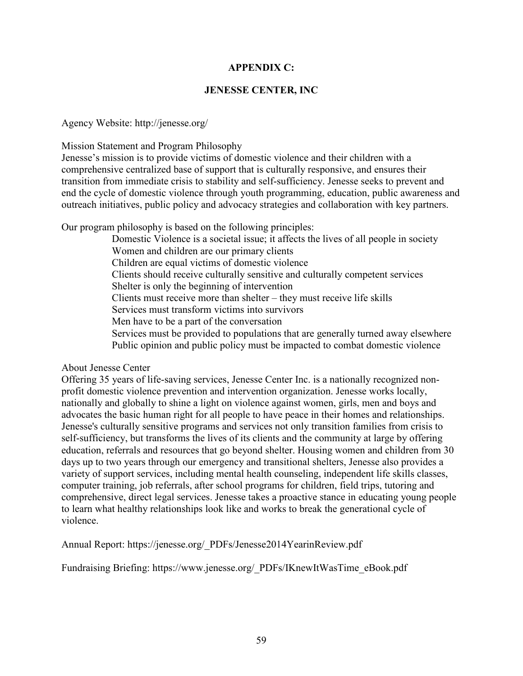# **APPENDIX C:**

# **JENESSE CENTER, INC**

# Agency Website: http://jenesse.org/

Mission Statement and Program Philosophy

Jenesse's mission is to provide victims of domestic violence and their children with a comprehensive centralized base of support that is culturally responsive, and ensures their transition from immediate crisis to stability and self-sufficiency. Jenesse seeks to prevent and end the cycle of domestic violence through youth programming, education, public awareness and outreach initiatives, public policy and advocacy strategies and collaboration with key partners.

Our program philosophy is based on the following principles:

Domestic Violence is a societal issue; it affects the lives of all people in society Women and children are our primary clients Children are equal victims of domestic violence Clients should receive culturally sensitive and culturally competent services Shelter is only the beginning of intervention Clients must receive more than shelter – they must receive life skills Services must transform victims into survivors Men have to be a part of the conversation Services must be provided to populations that are generally turned away elsewhere Public opinion and public policy must be impacted to combat domestic violence

About Jenesse Center

Offering 35 years of life-saving services, Jenesse Center Inc. is a nationally recognized nonprofit domestic violence prevention and intervention organization. Jenesse works locally, nationally and globally to shine a light on violence against women, girls, men and boys and advocates the basic human right for all people to have peace in their homes and relationships. Jenesse's culturally sensitive programs and services not only transition families from crisis to self-sufficiency, but transforms the lives of its clients and the community at large by offering education, referrals and resources that go beyond shelter. Housing women and children from 30 days up to two years through our emergency and transitional shelters, Jenesse also provides a variety of support services, including mental health counseling, independent life skills classes, computer training, job referrals, after school programs for children, field trips, tutoring and comprehensive, direct legal services. Jenesse takes a proactive stance in educating young people to learn what healthy relationships look like and works to break the generational cycle of violence.

Annual Report: https://jenesse.org/\_PDFs/Jenesse2014YearinReview.pdf

Fundraising Briefing: https://www.jenesse.org/\_PDFs/IKnewItWasTime\_eBook.pdf